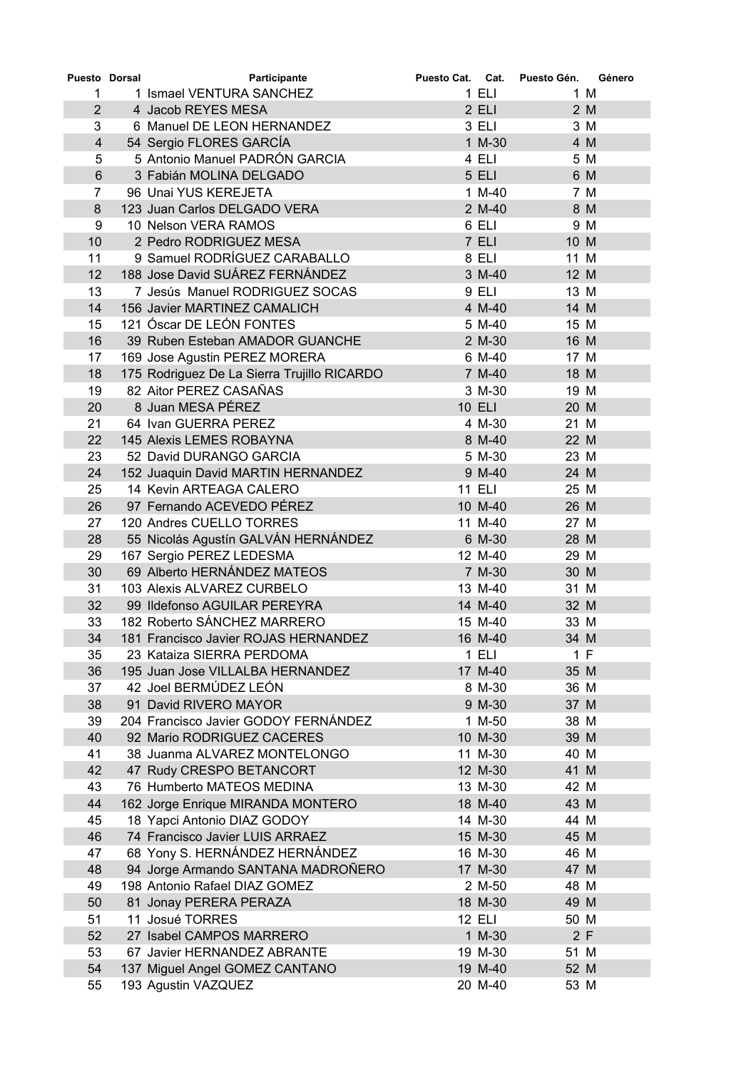| Puesto Dorsal  | Participante                                | Puesto Cat. Cat. |               | Puesto Gén. | Género |
|----------------|---------------------------------------------|------------------|---------------|-------------|--------|
| 1              | 1 Ismael VENTURA SANCHEZ                    |                  | $1$ ELI       |             | 1 M    |
| $\overline{2}$ | 4 Jacob REYES MESA                          |                  | $2$ ELI       |             | 2 M    |
| 3              | 6 Manuel DE LEON HERNANDEZ                  |                  | 3 ELI         |             | 3 M    |
| $\overline{4}$ | 54 Sergio FLORES GARCÍA                     |                  | 1 M-30        |             | 4 M    |
| 5              | 5 Antonio Manuel PADRÓN GARCIA              |                  | 4 ELI         |             | 5 M    |
| $6\phantom{1}$ | 3 Fabián MOLINA DELGADO                     |                  | 5 ELI         |             | 6 M    |
| 7              | 96 Unai YUS KEREJETA                        |                  | 1 M-40        |             | 7 M    |
| 8              | 123 Juan Carlos DELGADO VERA                |                  | 2 M-40        |             | 8 M    |
| 9              | 10 Nelson VERA RAMOS                        |                  | 6 ELI         |             | 9 M    |
| 10             | 2 Pedro RODRIGUEZ MESA                      |                  | 7 ELI         | 10 M        |        |
| 11             | 9 Samuel RODRÍGUEZ CARABALLO                |                  | 8 ELI         | 11 M        |        |
| 12             | 188 Jose David SUÁREZ FERNÁNDEZ             |                  | 3 M-40        | 12 M        |        |
| 13             | 7 Jesús Manuel RODRIGUEZ SOCAS              |                  | 9 ELI         | 13 M        |        |
| 14             | 156 Javier MARTINEZ CAMALICH                |                  | 4 M-40        | 14 M        |        |
| 15             | 121 Óscar DE LEÓN FONTES                    |                  | 5 M-40        | 15 M        |        |
| 16             | 39 Ruben Esteban AMADOR GUANCHE             |                  | 2 M-30        | 16 M        |        |
| 17             | 169 Jose Agustin PEREZ MORERA               |                  | 6 M-40        | 17 M        |        |
| 18             | 175 Rodriguez De La Sierra Trujillo RICARDO |                  | 7 M-40        | 18 M        |        |
| 19             | 82 Aitor PEREZ CASAÑAS                      |                  | 3 M-30        | 19 M        |        |
| 20             | 8 Juan MESA PÉREZ                           |                  | <b>10 ELI</b> | 20 M        |        |
| 21             | 64 Ivan GUERRA PEREZ                        |                  | 4 M-30        | 21 M        |        |
| 22             | 145 Alexis LEMES ROBAYNA                    |                  | 8 M-40        | 22 M        |        |
| 23             | 52 David DURANGO GARCIA                     |                  | 5 M-30        | 23 M        |        |
| 24             | 152 Juaquin David MARTIN HERNANDEZ          |                  | 9 M-40        | 24 M        |        |
| 25             | 14 Kevin ARTEAGA CALERO                     |                  | <b>11 ELI</b> | 25 M        |        |
| 26             | 97 Fernando ACEVEDO PÉREZ                   |                  | 10 M-40       | 26 M        |        |
| 27             | 120 Andres CUELLO TORRES                    |                  | 11 M-40       | 27 M        |        |
| 28             | 55 Nicolás Agustín GALVÁN HERNÁNDEZ         |                  | 6 M-30        | 28 M        |        |
| 29             | 167 Sergio PEREZ LEDESMA                    |                  | 12 M-40       | 29 M        |        |
| 30             | 69 Alberto HERNÁNDEZ MATEOS                 |                  | 7 M-30        | 30 M        |        |
| 31             | 103 Alexis ALVAREZ CURBELO                  |                  | 13 M-40       | 31 M        |        |
| 32             | 99 Ildefonso AGUILAR PEREYRA                |                  | 14 M-40       | 32 M        |        |
| 33             | 182 Roberto SÁNCHEZ MARRERO                 |                  | 15 M-40       | 33 M        |        |
| 34             | 181 Francisco Javier ROJAS HERNANDEZ        |                  | 16 M-40       | 34 M        |        |
| 35             | 23 Kataiza SIERRA PERDOMA                   |                  | 1 ELI         |             | 1 F    |
| 36             | 195 Juan Jose VILLALBA HERNANDEZ            |                  | 17 M-40       | 35 M        |        |
| 37             | 42 Joel BERMÚDEZ LEÓN                       |                  | 8 M-30        | 36 M        |        |
| 38             | 91 David RIVERO MAYOR                       |                  | 9 M-30        | 37 M        |        |
| 39             | 204 Francisco Javier GODOY FERNÁNDEZ        |                  | 1 M-50        | 38 M        |        |
| 40             | 92 Mario RODRIGUEZ CACERES                  |                  | 10 M-30       | 39 M        |        |
| 41             | 38 Juanma ALVAREZ MONTELONGO                |                  | 11 M-30       | 40 M        |        |
| 42             | 47 Rudy CRESPO BETANCORT                    |                  | 12 M-30       | 41 M        |        |
| 43             | 76 Humberto MATEOS MEDINA                   |                  | 13 M-30       | 42 M        |        |
| 44             | 162 Jorge Enrique MIRANDA MONTERO           |                  | 18 M-40       | 43 M        |        |
| 45             | 18 Yapci Antonio DIAZ GODOY                 |                  | 14 M-30       | 44 M        |        |
| 46             | 74 Francisco Javier LUIS ARRAEZ             |                  | 15 M-30       | 45 M        |        |
| 47             | 68 Yony S. HERNÁNDEZ HERNÁNDEZ              |                  | 16 M-30       | 46 M        |        |
| 48             | 94 Jorge Armando SANTANA MADROÑERO          |                  | 17 M-30       | 47 M        |        |
| 49             | 198 Antonio Rafael DIAZ GOMEZ               |                  | 2 M-50        | 48 M        |        |
| 50             | 81 Jonay PERERA PERAZA                      |                  | 18 M-30       | 49 M        |        |
| 51             | 11 Josué TORRES                             |                  | 12 ELI        | 50 M        |        |
| 52             | 27 Isabel CAMPOS MARRERO                    |                  | 1 M-30        |             | 2F     |
| 53             | 67 Javier HERNANDEZ ABRANTE                 |                  | 19 M-30       | 51 M        |        |
| 54             | 137 Miguel Angel GOMEZ CANTANO              |                  | 19 M-40       | 52 M        |        |
| 55             | 193 Agustin VAZQUEZ                         |                  | 20 M-40       | 53 M        |        |
|                |                                             |                  |               |             |        |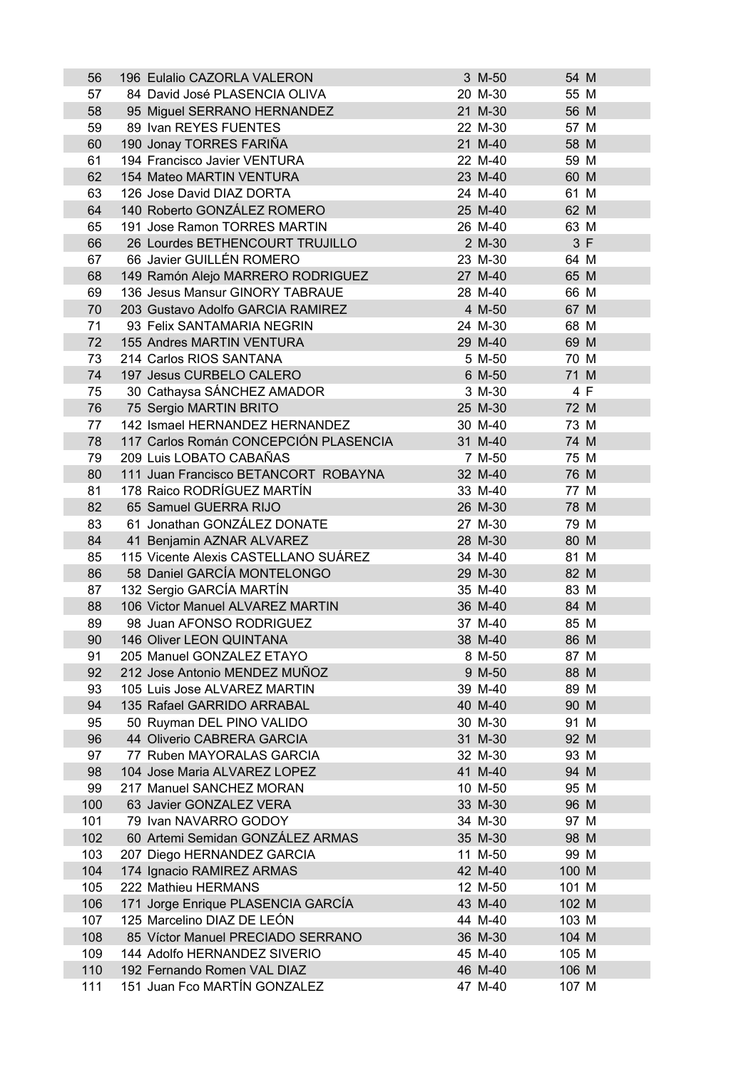| 56  | 196 Eulalio CAZORLA VALERON           | 3 M-50  | 54 M  |     |
|-----|---------------------------------------|---------|-------|-----|
| 57  | 84 David José PLASENCIA OLIVA         | 20 M-30 | 55 M  |     |
| 58  | 95 Miguel SERRANO HERNANDEZ           | 21 M-30 | 56 M  |     |
| 59  | 89 Ivan REYES FUENTES                 | 22 M-30 | 57 M  |     |
| 60  | 190 Jonay TORRES FARIÑA               | 21 M-40 | 58 M  |     |
| 61  | 194 Francisco Javier VENTURA          | 22 M-40 | 59 M  |     |
| 62  | 154 Mateo MARTIN VENTURA              | 23 M-40 | 60 M  |     |
| 63  | 126 Jose David DIAZ DORTA             | 24 M-40 | 61 M  |     |
| 64  | 140 Roberto GONZÁLEZ ROMERO           | 25 M-40 | 62 M  |     |
| 65  | 191 Jose Ramon TORRES MARTIN          | 26 M-40 | 63 M  |     |
| 66  | 26 Lourdes BETHENCOURT TRUJILLO       | 2 M-30  |       | 3 F |
| 67  | 66 Javier GUILLÉN ROMERO              | 23 M-30 | 64 M  |     |
|     |                                       | 27 M-40 | 65 M  |     |
| 68  | 149 Ramón Alejo MARRERO RODRIGUEZ     |         |       |     |
| 69  | 136 Jesus Mansur GINORY TABRAUE       | 28 M-40 | 66 M  |     |
| 70  | 203 Gustavo Adolfo GARCIA RAMIREZ     | 4 M-50  | 67 M  |     |
| 71  | 93 Felix SANTAMARIA NEGRIN            | 24 M-30 | 68 M  |     |
| 72  | 155 Andres MARTIN VENTURA             | 29 M-40 | 69 M  |     |
| 73  | 214 Carlos RIOS SANTANA               | 5 M-50  | 70 M  |     |
| 74  | 197 Jesus CURBELO CALERO              | 6 M-50  | 71 M  |     |
| 75  | 30 Cathaysa SÁNCHEZ AMADOR            | 3 M-30  |       | 4 F |
| 76  | 75 Sergio MARTIN BRITO                | 25 M-30 | 72 M  |     |
| 77  | 142 Ismael HERNANDEZ HERNANDEZ        | 30 M-40 | 73 M  |     |
| 78  | 117 Carlos Román CONCEPCIÓN PLASENCIA | 31 M-40 | 74 M  |     |
| 79  | 209 Luis LOBATO CABAÑAS               | 7 M-50  | 75 M  |     |
| 80  | 111 Juan Francisco BETANCORT ROBAYNA  | 32 M-40 | 76 M  |     |
| 81  | 178 Raico RODRÍGUEZ MARTÍN            | 33 M-40 | 77 M  |     |
| 82  | 65 Samuel GUERRA RIJO                 | 26 M-30 | 78 M  |     |
| 83  | 61 Jonathan GONZÁLEZ DONATE           | 27 M-30 | 79 M  |     |
| 84  | 41 Benjamin AZNAR ALVAREZ             | 28 M-30 | 80 M  |     |
| 85  | 115 Vicente Alexis CASTELLANO SUÁREZ  | 34 M-40 | 81 M  |     |
| 86  | 58 Daniel GARCÍA MONTELONGO           | 29 M-30 | 82 M  |     |
| 87  | 132 Sergio GARCÍA MARTÍN              | 35 M-40 | 83 M  |     |
| 88  | 106 Victor Manuel ALVAREZ MARTIN      | 36 M-40 | 84 M  |     |
| 89  | 98 Juan AFONSO RODRIGUEZ              | 37 M-40 | 85 M  |     |
|     |                                       | 38 M-40 |       |     |
| 90  | 146 Oliver LEON QUINTANA              |         | 86 M  |     |
| 91  | 205 Manuel GONZALEZ ETAYO             | 8 M-50  | 87 M  |     |
| 92  | 212 Jose Antonio MENDEZ MUÑOZ         | 9 M-50  | 88 M  |     |
| 93  | 105 Luis Jose ALVAREZ MARTIN          | 39 M-40 | 89 M  |     |
| 94  | 135 Rafael GARRIDO ARRABAL            | 40 M-40 | 90 M  |     |
| 95  | 50 Ruyman DEL PINO VALIDO             | 30 M-30 | 91 M  |     |
| 96  | 44 Oliverio CABRERA GARCIA            | 31 M-30 | 92 M  |     |
| 97  | 77 Ruben MAYORALAS GARCIA             | 32 M-30 | 93 M  |     |
| 98  | 104 Jose Maria ALVAREZ LOPEZ          | 41 M-40 | 94 M  |     |
| 99  | 217 Manuel SANCHEZ MORAN              | 10 M-50 | 95 M  |     |
| 100 | 63 Javier GONZALEZ VERA               | 33 M-30 | 96 M  |     |
| 101 | 79 Ivan NAVARRO GODOY                 | 34 M-30 | 97 M  |     |
| 102 | 60 Artemi Semidan GONZÁLEZ ARMAS      | 35 M-30 | 98 M  |     |
| 103 | 207 Diego HERNANDEZ GARCIA            | 11 M-50 | 99 M  |     |
| 104 | 174 Ignacio RAMIREZ ARMAS             | 42 M-40 | 100 M |     |
| 105 | 222 Mathieu HERMANS                   | 12 M-50 | 101 M |     |
| 106 | 171 Jorge Enrique PLASENCIA GARCÍA    | 43 M-40 | 102 M |     |
| 107 | 125 Marcelino DIAZ DE LEÓN            | 44 M-40 | 103 M |     |
| 108 | 85 Víctor Manuel PRECIADO SERRANO     | 36 M-30 | 104 M |     |
| 109 | 144 Adolfo HERNANDEZ SIVERIO          | 45 M-40 | 105 M |     |
| 110 | 192 Fernando Romen VAL DIAZ           | 46 M-40 | 106 M |     |
| 111 | 151 Juan Fco MARTÍN GONZALEZ          | 47 M-40 | 107 M |     |
|     |                                       |         |       |     |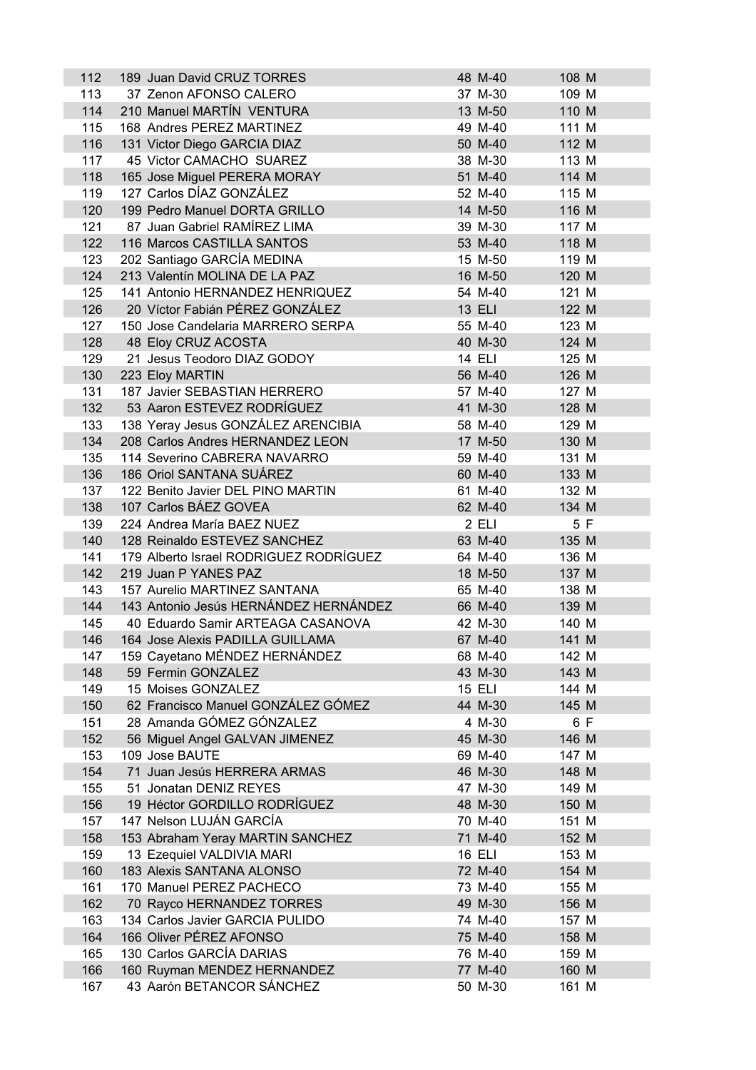| 112        | 189 Juan David CRUZ TORRES             | 48 M-40       | 108 M |     |
|------------|----------------------------------------|---------------|-------|-----|
| 113        | 37 Zenon AFONSO CALERO                 | 37 M-30       | 109 M |     |
| 114        | 210 Manuel MARTÍN VENTURA              | 13 M-50       | 110 M |     |
| 115        | 168 Andres PEREZ MARTINEZ              | 49 M-40       | 111 M |     |
| 116        | 131 Victor Diego GARCIA DIAZ           | 50 M-40       | 112 M |     |
| 117        | 45 Victor CAMACHO SUAREZ               | 38 M-30       | 113 M |     |
| 118        | 165 Jose Miguel PERERA MORAY           | 51 M-40       | 114 M |     |
| 119        | 127 Carlos DÍAZ GONZÁLEZ               | 52 M-40       | 115 M |     |
| 120        | 199 Pedro Manuel DORTA GRILLO          | 14 M-50       | 116 M |     |
| 121        | 87 Juan Gabriel RAMÍREZ LIMA           | 39 M-30       | 117 M |     |
| 122        | 116 Marcos CASTILLA SANTOS             | 53 M-40       | 118 M |     |
| 123        | 202 Santiago GARCÍA MEDINA             | 15 M-50       | 119 M |     |
| 124        | 213 Valentín MOLINA DE LA PAZ          | 16 M-50       | 120 M |     |
|            |                                        |               |       |     |
| 125        | 141 Antonio HERNANDEZ HENRIQUEZ        | 54 M-40       | 121 M |     |
| 126        | 20 Víctor Fabián PÉREZ GONZÁLEZ        | 13 ELI        | 122 M |     |
| 127        | 150 Jose Candelaria MARRERO SERPA      | 55 M-40       | 123 M |     |
| 128        | 48 Eloy CRUZ ACOSTA                    | 40 M-30       | 124 M |     |
| 129        | 21 Jesus Teodoro DIAZ GODOY            | 14 ELI        | 125 M |     |
| 130        | 223 Eloy MARTIN                        | 56 M-40       | 126 M |     |
| 131        | 187 Javier SEBASTIAN HERRERO           | 57 M-40       | 127 M |     |
| 132        | 53 Aaron ESTEVEZ RODRÍGUEZ             | 41 M-30       | 128 M |     |
| 133        | 138 Yeray Jesus GONZÁLEZ ARENCIBIA     | 58 M-40       | 129 M |     |
| 134        | 208 Carlos Andres HERNANDEZ LEON       | 17 M-50       | 130 M |     |
| 135        | 114 Severino CABRERA NAVARRO           | 59 M-40       | 131 M |     |
| 136        | 186 Oriol SANTANA SUÁREZ               | 60 M-40       | 133 M |     |
| 137        | 122 Benito Javier DEL PINO MARTIN      | 61 M-40       | 132 M |     |
| 138        | 107 Carlos BÁEZ GOVEA                  | 62 M-40       | 134 M |     |
| 139        | 224 Andrea María BAEZ NUEZ             | 2 ELI         |       | 5 F |
| 140        | 128 Reinaldo ESTEVEZ SANCHEZ           | 63 M-40       | 135 M |     |
| 141        | 179 Alberto Israel RODRIGUEZ RODRÍGUEZ | 64 M-40       | 136 M |     |
| 142        | 219 Juan P YANES PAZ                   | 18 M-50       | 137 M |     |
| 143        | 157 Aurelio MARTINEZ SANTANA           | 65 M-40       | 138 M |     |
| 144        | 143 Antonio Jesús HERNÁNDEZ HERNÁNDEZ  | 66 M-40       | 139 M |     |
| 145        | 40 Eduardo Samir ARTEAGA CASANOVA      | 42 M-30       | 140 M |     |
| 146        | 164 Jose Alexis PADILLA GUILLAMA       | 67 M-40       | 141 M |     |
| 147        | 159 Cayetano MÉNDEZ HERNÁNDEZ          | 68 M-40       | 142 M |     |
| 148        | 59 Fermin GONZALEZ                     | 43 M-30       | 143 M |     |
| 149        | 15 Moises GONZALEZ                     | <b>15 ELI</b> | 144 M |     |
| 150        | 62 Francisco Manuel GONZÁLEZ GÓMEZ     | 44 M-30       | 145 M |     |
|            | 28 Amanda GÓMEZ GÓNZALEZ               | 4 M-30        |       |     |
| 151<br>152 |                                        | 45 M-30       | 146 M | 6 F |
|            | 56 Miguel Angel GALVAN JIMENEZ         |               |       |     |
| 153        | 109 Jose BAUTE                         | 69 M-40       | 147 M |     |
| 154        | 71 Juan Jesús HERRERA ARMAS            | 46 M-30       | 148 M |     |
| 155        | 51 Jonatan DENIZ REYES                 | 47 M-30       | 149 M |     |
| 156        | 19 Héctor GORDILLO RODRÍGUEZ           | 48 M-30       | 150 M |     |
| 157        | 147 Nelson LUJÁN GARCÍA                | 70 M-40       | 151 M |     |
| 158        | 153 Abraham Yeray MARTIN SANCHEZ       | 71 M-40       | 152 M |     |
| 159        | 13 Ezequiel VALDIVIA MARI              | <b>16 ELI</b> | 153 M |     |
| 160        | 183 Alexis SANTANA ALONSO              | 72 M-40       | 154 M |     |
| 161        | 170 Manuel PEREZ PACHECO               | 73 M-40       | 155 M |     |
| 162        | 70 Rayco HERNANDEZ TORRES              | 49 M-30       | 156 M |     |
| 163        | 134 Carlos Javier GARCIA PULIDO        | 74 M-40       | 157 M |     |
| 164        | 166 Oliver PÉREZ AFONSO                | 75 M-40       | 158 M |     |
| 165        | 130 Carlos GARCÍA DARIAS               | 76 M-40       | 159 M |     |
| 166        | 160 Ruyman MENDEZ HERNANDEZ            | 77 M-40       | 160 M |     |
| 167        | 43 Aarón BETANCOR SÁNCHEZ              | 50 M-30       | 161 M |     |
|            |                                        |               |       |     |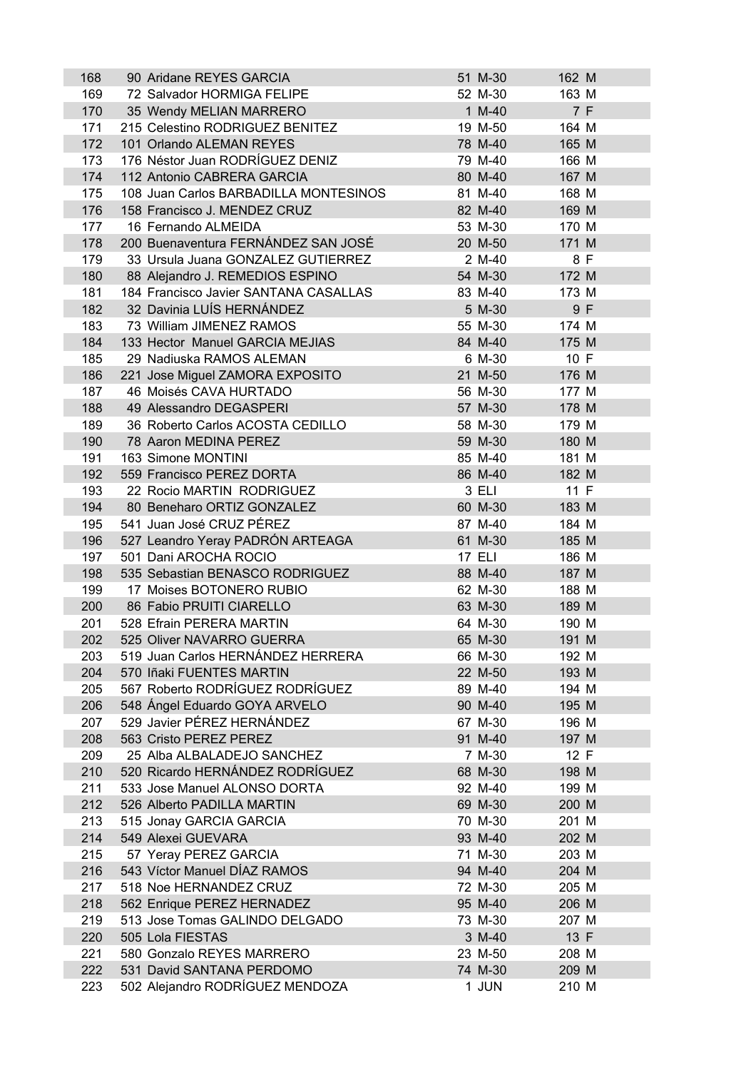| 168 | 90 Aridane REYES GARCIA               | 51 M-30       | 162 M |     |
|-----|---------------------------------------|---------------|-------|-----|
| 169 | 72 Salvador HORMIGA FELIPE            | 52 M-30       | 163 M |     |
| 170 | 35 Wendy MELIAN MARRERO               | $1 M-40$      |       | 7 F |
| 171 | 215 Celestino RODRIGUEZ BENITEZ       | 19 M-50       | 164 M |     |
| 172 | 101 Orlando ALEMAN REYES              | 78 M-40       | 165 M |     |
| 173 | 176 Néstor Juan RODRÍGUEZ DENIZ       | 79 M-40       | 166 M |     |
| 174 | 112 Antonio CABRERA GARCIA            | 80 M-40       | 167 M |     |
| 175 | 108 Juan Carlos BARBADILLA MONTESINOS | 81 M-40       | 168 M |     |
| 176 | 158 Francisco J. MENDEZ CRUZ          | 82 M-40       | 169 M |     |
| 177 | 16 Fernando ALMEIDA                   | 53 M-30       | 170 M |     |
| 178 | 200 Buenaventura FERNÁNDEZ SAN JOSÉ   | 20 M-50       | 171 M |     |
| 179 | 33 Ursula Juana GONZALEZ GUTIERREZ    | 2 M-40        |       | 8 F |
| 180 | 88 Alejandro J. REMEDIOS ESPINO       | 54 M-30       | 172 M |     |
| 181 | 184 Francisco Javier SANTANA CASALLAS | 83 M-40       | 173 M |     |
| 182 | 32 Davinia LUÍS HERNÁNDEZ             | 5 M-30        |       | 9 F |
| 183 | 73 William JIMENEZ RAMOS              | 55 M-30       | 174 M |     |
| 184 | 133 Hector Manuel GARCIA MEJIAS       | 84 M-40       | 175 M |     |
| 185 | 29 Nadiuska RAMOS ALEMAN              | 6 M-30        | 10 F  |     |
|     |                                       | 21 M-50       | 176 M |     |
| 186 | 221 Jose Miguel ZAMORA EXPOSITO       |               | 177 M |     |
| 187 | 46 Moisés CAVA HURTADO                | 56 M-30       |       |     |
| 188 | 49 Alessandro DEGASPERI               | 57 M-30       | 178 M |     |
| 189 | 36 Roberto Carlos ACOSTA CEDILLO      | 58 M-30       | 179 M |     |
| 190 | 78 Aaron MEDINA PEREZ                 | 59 M-30       | 180 M |     |
| 191 | 163 Simone MONTINI                    | 85 M-40       | 181 M |     |
| 192 | 559 Francisco PEREZ DORTA             | 86 M-40       | 182 M |     |
| 193 | 22 Rocio MARTIN RODRIGUEZ             | 3 ELI         | 11 F  |     |
| 194 | 80 Beneharo ORTIZ GONZALEZ            | 60 M-30       | 183 M |     |
| 195 | 541 Juan José CRUZ PÉREZ              | 87 M-40       | 184 M |     |
| 196 | 527 Leandro Yeray PADRÓN ARTEAGA      | 61 M-30       | 185 M |     |
| 197 | 501 Dani AROCHA ROCIO                 | <b>17 ELI</b> | 186 M |     |
| 198 | 535 Sebastian BENASCO RODRIGUEZ       | 88 M-40       | 187 M |     |
| 199 | 17 Moises BOTONERO RUBIO              | 62 M-30       | 188 M |     |
| 200 | 86 Fabio PRUITI CIARELLO              | 63 M-30       | 189 M |     |
| 201 | 528 Efrain PERERA MARTIN              | 64 M-30       | 190 M |     |
| 202 | 525 Oliver NAVARRO GUERRA             | 65 M-30       | 191 M |     |
| 203 | 519 Juan Carlos HERNÁNDEZ HERRERA     | 66 M-30       | 192 M |     |
| 204 | 570 Iñaki FUENTES MARTIN              | 22 M-50       | 193 M |     |
| 205 | 567 Roberto RODRÍGUEZ RODRÍGUEZ       | 89 M-40       | 194 M |     |
| 206 | 548 Ángel Eduardo GOYA ARVELO         | 90 M-40       | 195 M |     |
| 207 | 529 Javier PÉREZ HERNÁNDEZ            | 67 M-30       | 196 M |     |
| 208 | 563 Cristo PEREZ PEREZ                | 91 M-40       | 197 M |     |
| 209 | 25 Alba ALBALADEJO SANCHEZ            | 7 M-30        | 12 F  |     |
| 210 | 520 Ricardo HERNÁNDEZ RODRÍGUEZ       | 68 M-30       | 198 M |     |
| 211 | 533 Jose Manuel ALONSO DORTA          | 92 M-40       | 199 M |     |
| 212 | 526 Alberto PADILLA MARTIN            | 69 M-30       | 200 M |     |
| 213 | 515 Jonay GARCIA GARCIA               | 70 M-30       | 201 M |     |
| 214 | 549 Alexei GUEVARA                    | 93 M-40       | 202 M |     |
| 215 | 57 Yeray PEREZ GARCIA                 | 71 M-30       | 203 M |     |
| 216 | 543 Víctor Manuel DÍAZ RAMOS          | 94 M-40       | 204 M |     |
| 217 | 518 Noe HERNANDEZ CRUZ                | 72 M-30       | 205 M |     |
| 218 | 562 Enrique PEREZ HERNADEZ            | 95 M-40       | 206 M |     |
| 219 | 513 Jose Tomas GALINDO DELGADO        | 73 M-30       | 207 M |     |
| 220 | 505 Lola FIESTAS                      | 3 M-40        | 13 F  |     |
| 221 | 580 Gonzalo REYES MARRERO             | 23 M-50       | 208 M |     |
| 222 | 531 David SANTANA PERDOMO             | 74 M-30       | 209 M |     |
| 223 | 502 Alejandro RODRÍGUEZ MENDOZA       | 1 JUN         | 210 M |     |
|     |                                       |               |       |     |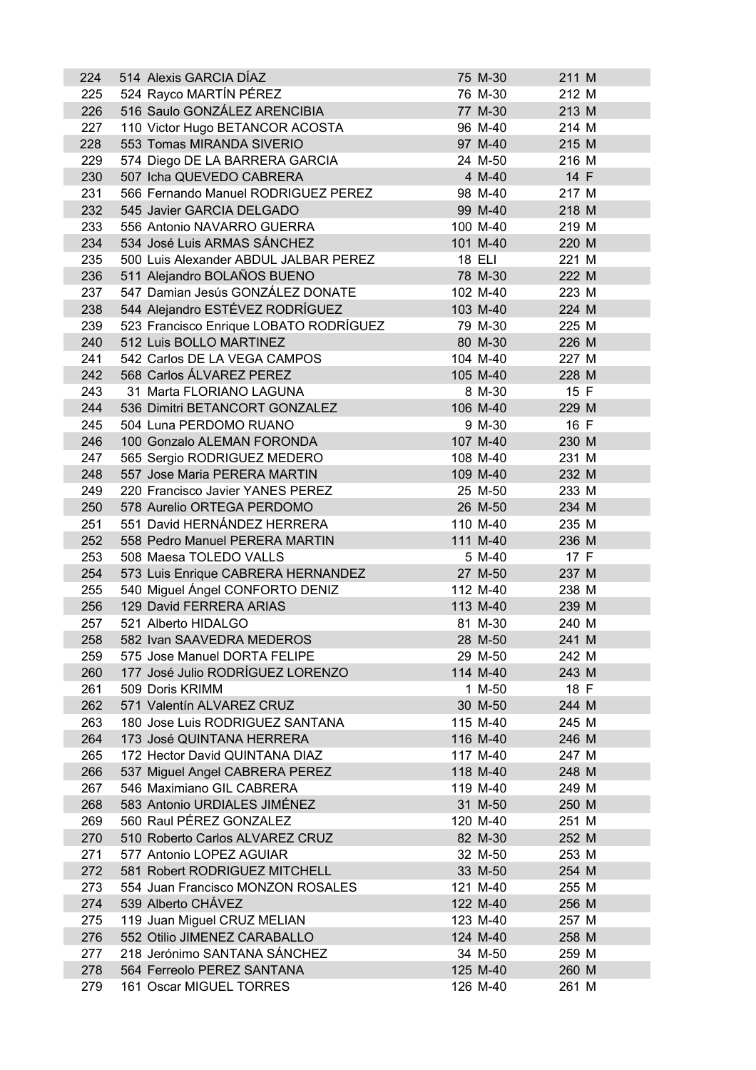| 224 | 514 Alexis GARCIA DÍAZ                 | 75 M-30  | 211 M |  |
|-----|----------------------------------------|----------|-------|--|
| 225 | 524 Rayco MARTÍN PÉREZ                 | 76 M-30  | 212 M |  |
| 226 | 516 Saulo GONZÁLEZ ARENCIBIA           | 77 M-30  | 213 M |  |
| 227 | 110 Victor Hugo BETANCOR ACOSTA        | 96 M-40  | 214 M |  |
| 228 | 553 Tomas MIRANDA SIVERIO              | 97 M-40  | 215 M |  |
| 229 | 574 Diego DE LA BARRERA GARCIA         | 24 M-50  | 216 M |  |
| 230 | 507 Icha QUEVEDO CABRERA               | 4 M-40   | 14 F  |  |
| 231 | 566 Fernando Manuel RODRIGUEZ PEREZ    | 98 M-40  | 217 M |  |
| 232 | 545 Javier GARCIA DELGADO              | 99 M-40  | 218 M |  |
| 233 | 556 Antonio NAVARRO GUERRA             | 100 M-40 | 219 M |  |
| 234 | 534 José Luis ARMAS SÁNCHEZ            | 101 M-40 | 220 M |  |
| 235 | 500 Luis Alexander ABDUL JALBAR PEREZ  | 18 ELI   | 221 M |  |
| 236 | 511 Alejandro BOLAÑOS BUENO            | 78 M-30  | 222 M |  |
| 237 | 547 Damian Jesús GONZÁLEZ DONATE       | 102 M-40 | 223 M |  |
| 238 | 544 Alejandro ESTÉVEZ RODRÍGUEZ        | 103 M-40 | 224 M |  |
| 239 | 523 Francisco Enrique LOBATO RODRÍGUEZ | 79 M-30  | 225 M |  |
| 240 | 512 Luis BOLLO MARTINEZ                | 80 M-30  | 226 M |  |
| 241 | 542 Carlos DE LA VEGA CAMPOS           | 104 M-40 | 227 M |  |
| 242 | 568 Carlos ÁLVAREZ PEREZ               | 105 M-40 | 228 M |  |
| 243 | 31 Marta FLORIANO LAGUNA               | 8 M-30   | 15 F  |  |
|     |                                        |          |       |  |
| 244 | 536 Dimitri BETANCORT GONZALEZ         | 106 M-40 | 229 M |  |
| 245 | 504 Luna PERDOMO RUANO                 | 9 M-30   | 16 F  |  |
| 246 | 100 Gonzalo ALEMAN FORONDA             | 107 M-40 | 230 M |  |
| 247 | 565 Sergio RODRIGUEZ MEDERO            | 108 M-40 | 231 M |  |
| 248 | 557 Jose Maria PERERA MARTIN           | 109 M-40 | 232 M |  |
| 249 | 220 Francisco Javier YANES PEREZ       | 25 M-50  | 233 M |  |
| 250 | 578 Aurelio ORTEGA PERDOMO             | 26 M-50  | 234 M |  |
| 251 | 551 David HERNÁNDEZ HERRERA            | 110 M-40 | 235 M |  |
| 252 | 558 Pedro Manuel PERERA MARTIN         | 111 M-40 | 236 M |  |
| 253 | 508 Maesa TOLEDO VALLS                 | 5 M-40   | 17 F  |  |
| 254 | 573 Luis Enrique CABRERA HERNANDEZ     | 27 M-50  | 237 M |  |
| 255 | 540 Miguel Ángel CONFORTO DENIZ        | 112 M-40 | 238 M |  |
| 256 | 129 David FERRERA ARIAS                | 113 M-40 | 239 M |  |
| 257 | 521 Alberto HIDALGO                    | 81 M-30  | 240 M |  |
| 258 | 582 Ivan SAAVEDRA MEDEROS              | 28 M-50  | 241 M |  |
| 259 | 575 Jose Manuel DORTA FELIPE           | 29 M-50  | 242 M |  |
| 260 | 177 José Julio RODRÍGUEZ LORENZO       | 114 M-40 | 243 M |  |
| 261 | 509 Doris KRIMM                        | 1 M-50   | 18 F  |  |
| 262 | 571 Valentín ALVAREZ CRUZ              | 30 M-50  | 244 M |  |
| 263 | 180 Jose Luis RODRIGUEZ SANTANA        | 115 M-40 | 245 M |  |
| 264 | 173 José QUINTANA HERRERA              | 116 M-40 | 246 M |  |
| 265 | 172 Hector David QUINTANA DIAZ         | 117 M-40 | 247 M |  |
| 266 | 537 Miguel Angel CABRERA PEREZ         | 118 M-40 | 248 M |  |
| 267 | 546 Maximiano GIL CABRERA              | 119 M-40 | 249 M |  |
| 268 | 583 Antonio URDIALES JIMÉNEZ           | 31 M-50  | 250 M |  |
| 269 | 560 Raul PÉREZ GONZALEZ                | 120 M-40 | 251 M |  |
| 270 | 510 Roberto Carlos ALVAREZ CRUZ        | 82 M-30  | 252 M |  |
| 271 | 577 Antonio LOPEZ AGUIAR               | 32 M-50  | 253 M |  |
| 272 | 581 Robert RODRIGUEZ MITCHELL          | 33 M-50  | 254 M |  |
| 273 | 554 Juan Francisco MONZON ROSALES      | 121 M-40 | 255 M |  |
| 274 | 539 Alberto CHÁVEZ                     | 122 M-40 | 256 M |  |
| 275 | 119 Juan Miguel CRUZ MELIAN            | 123 M-40 | 257 M |  |
| 276 | 552 Otilio JIMENEZ CARABALLO           | 124 M-40 | 258 M |  |
| 277 | 218 Jerónimo SANTANA SÁNCHEZ           | 34 M-50  | 259 M |  |
| 278 | 564 Ferreolo PEREZ SANTANA             | 125 M-40 | 260 M |  |
| 279 | 161 Oscar MIGUEL TORRES                | 126 M-40 | 261 M |  |
|     |                                        |          |       |  |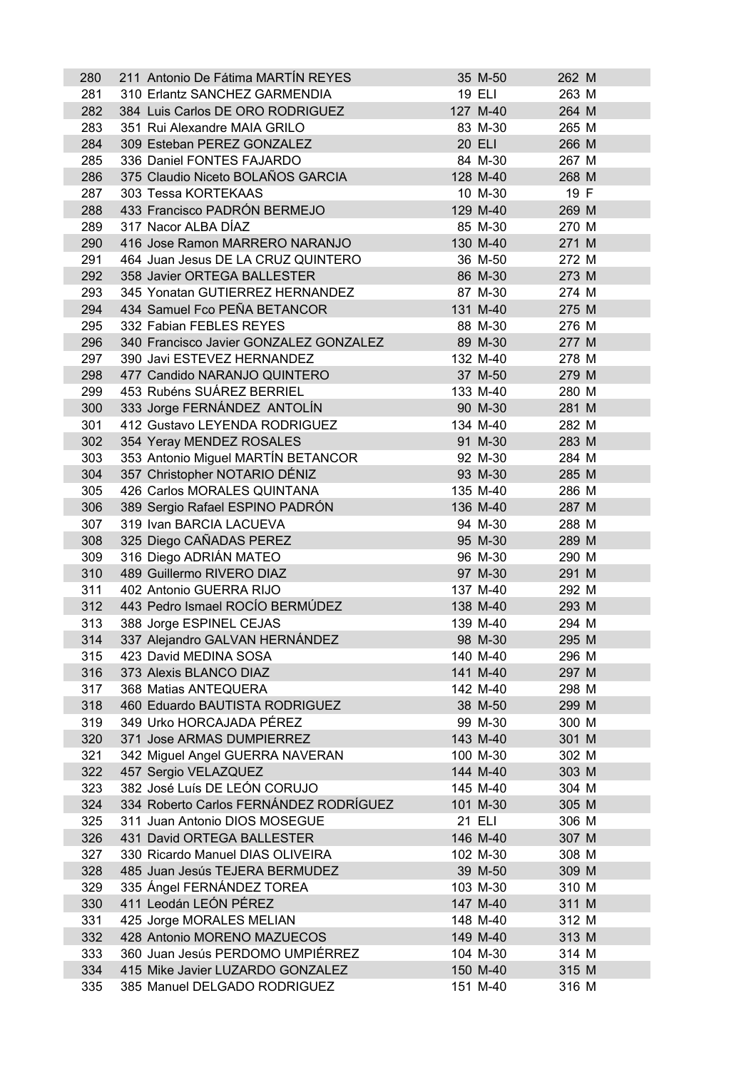| 19 ELI<br>263 M<br>281<br>310 Erlantz SANCHEZ GARMENDIA<br>282<br>384 Luis Carlos DE ORO RODRIGUEZ<br>127 M-40<br>264 M<br>283<br>351 Rui Alexandre MAIA GRILO<br>83 M-30<br>265 M<br>284<br>309 Esteban PEREZ GONZALEZ<br>20 ELI<br>266 M<br>285<br>336 Daniel FONTES FAJARDO<br>84 M-30<br>267 M<br>375 Claudio Niceto BOLAÑOS GARCIA<br>286<br>128 M-40<br>268 M<br>287<br>303 Tessa KORTEKAAS<br>10 M-30<br>19 F<br>433 Francisco PADRÓN BERMEJO<br>288<br>129 M-40<br>269 M<br>317 Nacor ALBA DÍAZ<br>289<br>85 M-30<br>270 M<br>290<br>416 Jose Ramon MARRERO NARANJO<br>130 M-40<br>271 M<br>464 Juan Jesus DE LA CRUZ QUINTERO<br>291<br>36 M-50<br>272 M<br>292<br>358 Javier ORTEGA BALLESTER<br>86 M-30<br>273 M<br>293<br>345 Yonatan GUTIERREZ HERNANDEZ<br>87 M-30<br>274 M<br>434 Samuel Fco PEÑA BETANCOR<br>294<br>131 M-40<br>275 M<br>332 Fabian FEBLES REYES<br>295<br>88 M-30<br>276 M<br>296<br>340 Francisco Javier GONZALEZ GONZALEZ<br>89 M-30<br>277 M<br>297<br>390 Javi ESTEVEZ HERNANDEZ<br>132 M-40<br>278 M<br>298<br>477 Candido NARANJO QUINTERO<br>37 M-50<br>279 M<br>453 Rubéns SUÁREZ BERRIEL<br>299<br>133 M-40<br>280 M<br>333 Jorge FERNÁNDEZ ANTOLÍN<br>300<br>90 M-30<br>281 M<br>412 Gustavo LEYENDA RODRIGUEZ<br>301<br>134 M-40<br>282 M<br>302<br>354 Yeray MENDEZ ROSALES<br>91 M-30<br>283 M<br>353 Antonio Miguel MARTÍN BETANCOR<br>303<br>92 M-30<br>284 M<br>304<br>357 Christopher NOTARIO DÉNIZ<br>93 M-30<br>285 M<br>305<br>426 Carlos MORALES QUINTANA<br>135 M-40<br>286 M<br>389 Sergio Rafael ESPINO PADRÓN<br>136 M-40<br>306<br>287 M<br>307<br>319 Ivan BARCIA LACUEVA<br>94 M-30<br>288 M<br>325 Diego CAÑADAS PEREZ<br>308<br>95 M-30<br>289 M<br>316 Diego ADRIÁN MATEO<br>309<br>96 M-30<br>290 M<br>97 M-30<br>310<br>489 Guillermo RIVERO DIAZ<br>291 M<br>311<br>402 Antonio GUERRA RIJO<br>137 M-40<br>292 M<br>443 Pedro Ismael ROCÍO BERMÚDEZ<br>312<br>138 M-40<br>293 M<br>313<br>294 M<br>388 Jorge ESPINEL CEJAS<br>139 M-40<br>314<br>337 Alejandro GALVAN HERNÁNDEZ<br>98 M-30<br>295 M<br>423 David MEDINA SOSA<br>315<br>140 M-40<br>296 M<br>316<br>373 Alexis BLANCO DIAZ<br>141 M-40<br>297 M<br>317<br>368 Matias ANTEQUERA<br>142 M-40<br>298 M<br>318<br>460 Eduardo BAUTISTA RODRIGUEZ<br>38 M-50<br>299 M<br>319<br>349 Urko HORCAJADA PÉREZ<br>99 M-30<br>300 M<br>320<br>371 Jose ARMAS DUMPIERREZ<br>143 M-40<br>301 M<br>321<br>342 Miguel Angel GUERRA NAVERAN<br>100 M-30<br>302 M<br>322<br>457 Sergio VELAZQUEZ<br>144 M-40<br>303 M<br>382 José Luís DE LEÓN CORUJO<br>323<br>145 M-40<br>304 M<br>334 Roberto Carlos FERNÁNDEZ RODRÍGUEZ<br>324<br>101 M-30<br>305 M<br>311 Juan Antonio DIOS MOSEGUE<br>325<br>21 ELI<br>306 M<br>326<br>431 David ORTEGA BALLESTER<br>146 M-40<br>307 M<br>327<br>330 Ricardo Manuel DIAS OLIVEIRA<br>102 M-30<br>308 M<br>328<br>485 Juan Jesús TEJERA BERMUDEZ<br>39 M-50<br>309 M<br>335 Ángel FERNÁNDEZ TOREA<br>329<br>103 M-30<br>310 M<br>411 Leodán LEÓN PÉREZ<br>330<br>147 M-40<br>311 M<br>425 Jorge MORALES MELIAN<br>331<br>312 M<br>148 M-40<br>332<br>428 Antonio MORENO MAZUECOS<br>149 M-40<br>313 M<br>333<br>360 Juan Jesús PERDOMO UMPIÉRREZ<br>104 M-30<br>314 M<br>334<br>415 Mike Javier LUZARDO GONZALEZ<br>150 M-40<br>315 M<br>335<br>385 Manuel DELGADO RODRIGUEZ<br>151 M-40<br>316 M | 280 | 211 Antonio De Fátima MARTÍN REYES | 35 M-50 | 262 M |  |
|--------------------------------------------------------------------------------------------------------------------------------------------------------------------------------------------------------------------------------------------------------------------------------------------------------------------------------------------------------------------------------------------------------------------------------------------------------------------------------------------------------------------------------------------------------------------------------------------------------------------------------------------------------------------------------------------------------------------------------------------------------------------------------------------------------------------------------------------------------------------------------------------------------------------------------------------------------------------------------------------------------------------------------------------------------------------------------------------------------------------------------------------------------------------------------------------------------------------------------------------------------------------------------------------------------------------------------------------------------------------------------------------------------------------------------------------------------------------------------------------------------------------------------------------------------------------------------------------------------------------------------------------------------------------------------------------------------------------------------------------------------------------------------------------------------------------------------------------------------------------------------------------------------------------------------------------------------------------------------------------------------------------------------------------------------------------------------------------------------------------------------------------------------------------------------------------------------------------------------------------------------------------------------------------------------------------------------------------------------------------------------------------------------------------------------------------------------------------------------------------------------------------------------------------------------------------------------------------------------------------------------------------------------------------------------------------------------------------------------------------------------------------------------------------------------------------------------------------------------------------------------------------------------------------------------------------------------------------------------------------------------------------------------------------------------------------------------------------------------------------------------------------------------------------------------------------------------------------------------------------------------------------------------------------------------------------------------------------------------|-----|------------------------------------|---------|-------|--|
|                                                                                                                                                                                                                                                                                                                                                                                                                                                                                                                                                                                                                                                                                                                                                                                                                                                                                                                                                                                                                                                                                                                                                                                                                                                                                                                                                                                                                                                                                                                                                                                                                                                                                                                                                                                                                                                                                                                                                                                                                                                                                                                                                                                                                                                                                                                                                                                                                                                                                                                                                                                                                                                                                                                                                                                                                                                                                                                                                                                                                                                                                                                                                                                                                                                                                                                                                        |     |                                    |         |       |  |
|                                                                                                                                                                                                                                                                                                                                                                                                                                                                                                                                                                                                                                                                                                                                                                                                                                                                                                                                                                                                                                                                                                                                                                                                                                                                                                                                                                                                                                                                                                                                                                                                                                                                                                                                                                                                                                                                                                                                                                                                                                                                                                                                                                                                                                                                                                                                                                                                                                                                                                                                                                                                                                                                                                                                                                                                                                                                                                                                                                                                                                                                                                                                                                                                                                                                                                                                                        |     |                                    |         |       |  |
|                                                                                                                                                                                                                                                                                                                                                                                                                                                                                                                                                                                                                                                                                                                                                                                                                                                                                                                                                                                                                                                                                                                                                                                                                                                                                                                                                                                                                                                                                                                                                                                                                                                                                                                                                                                                                                                                                                                                                                                                                                                                                                                                                                                                                                                                                                                                                                                                                                                                                                                                                                                                                                                                                                                                                                                                                                                                                                                                                                                                                                                                                                                                                                                                                                                                                                                                                        |     |                                    |         |       |  |
|                                                                                                                                                                                                                                                                                                                                                                                                                                                                                                                                                                                                                                                                                                                                                                                                                                                                                                                                                                                                                                                                                                                                                                                                                                                                                                                                                                                                                                                                                                                                                                                                                                                                                                                                                                                                                                                                                                                                                                                                                                                                                                                                                                                                                                                                                                                                                                                                                                                                                                                                                                                                                                                                                                                                                                                                                                                                                                                                                                                                                                                                                                                                                                                                                                                                                                                                                        |     |                                    |         |       |  |
|                                                                                                                                                                                                                                                                                                                                                                                                                                                                                                                                                                                                                                                                                                                                                                                                                                                                                                                                                                                                                                                                                                                                                                                                                                                                                                                                                                                                                                                                                                                                                                                                                                                                                                                                                                                                                                                                                                                                                                                                                                                                                                                                                                                                                                                                                                                                                                                                                                                                                                                                                                                                                                                                                                                                                                                                                                                                                                                                                                                                                                                                                                                                                                                                                                                                                                                                                        |     |                                    |         |       |  |
|                                                                                                                                                                                                                                                                                                                                                                                                                                                                                                                                                                                                                                                                                                                                                                                                                                                                                                                                                                                                                                                                                                                                                                                                                                                                                                                                                                                                                                                                                                                                                                                                                                                                                                                                                                                                                                                                                                                                                                                                                                                                                                                                                                                                                                                                                                                                                                                                                                                                                                                                                                                                                                                                                                                                                                                                                                                                                                                                                                                                                                                                                                                                                                                                                                                                                                                                                        |     |                                    |         |       |  |
|                                                                                                                                                                                                                                                                                                                                                                                                                                                                                                                                                                                                                                                                                                                                                                                                                                                                                                                                                                                                                                                                                                                                                                                                                                                                                                                                                                                                                                                                                                                                                                                                                                                                                                                                                                                                                                                                                                                                                                                                                                                                                                                                                                                                                                                                                                                                                                                                                                                                                                                                                                                                                                                                                                                                                                                                                                                                                                                                                                                                                                                                                                                                                                                                                                                                                                                                                        |     |                                    |         |       |  |
|                                                                                                                                                                                                                                                                                                                                                                                                                                                                                                                                                                                                                                                                                                                                                                                                                                                                                                                                                                                                                                                                                                                                                                                                                                                                                                                                                                                                                                                                                                                                                                                                                                                                                                                                                                                                                                                                                                                                                                                                                                                                                                                                                                                                                                                                                                                                                                                                                                                                                                                                                                                                                                                                                                                                                                                                                                                                                                                                                                                                                                                                                                                                                                                                                                                                                                                                                        |     |                                    |         |       |  |
|                                                                                                                                                                                                                                                                                                                                                                                                                                                                                                                                                                                                                                                                                                                                                                                                                                                                                                                                                                                                                                                                                                                                                                                                                                                                                                                                                                                                                                                                                                                                                                                                                                                                                                                                                                                                                                                                                                                                                                                                                                                                                                                                                                                                                                                                                                                                                                                                                                                                                                                                                                                                                                                                                                                                                                                                                                                                                                                                                                                                                                                                                                                                                                                                                                                                                                                                                        |     |                                    |         |       |  |
|                                                                                                                                                                                                                                                                                                                                                                                                                                                                                                                                                                                                                                                                                                                                                                                                                                                                                                                                                                                                                                                                                                                                                                                                                                                                                                                                                                                                                                                                                                                                                                                                                                                                                                                                                                                                                                                                                                                                                                                                                                                                                                                                                                                                                                                                                                                                                                                                                                                                                                                                                                                                                                                                                                                                                                                                                                                                                                                                                                                                                                                                                                                                                                                                                                                                                                                                                        |     |                                    |         |       |  |
|                                                                                                                                                                                                                                                                                                                                                                                                                                                                                                                                                                                                                                                                                                                                                                                                                                                                                                                                                                                                                                                                                                                                                                                                                                                                                                                                                                                                                                                                                                                                                                                                                                                                                                                                                                                                                                                                                                                                                                                                                                                                                                                                                                                                                                                                                                                                                                                                                                                                                                                                                                                                                                                                                                                                                                                                                                                                                                                                                                                                                                                                                                                                                                                                                                                                                                                                                        |     |                                    |         |       |  |
|                                                                                                                                                                                                                                                                                                                                                                                                                                                                                                                                                                                                                                                                                                                                                                                                                                                                                                                                                                                                                                                                                                                                                                                                                                                                                                                                                                                                                                                                                                                                                                                                                                                                                                                                                                                                                                                                                                                                                                                                                                                                                                                                                                                                                                                                                                                                                                                                                                                                                                                                                                                                                                                                                                                                                                                                                                                                                                                                                                                                                                                                                                                                                                                                                                                                                                                                                        |     |                                    |         |       |  |
|                                                                                                                                                                                                                                                                                                                                                                                                                                                                                                                                                                                                                                                                                                                                                                                                                                                                                                                                                                                                                                                                                                                                                                                                                                                                                                                                                                                                                                                                                                                                                                                                                                                                                                                                                                                                                                                                                                                                                                                                                                                                                                                                                                                                                                                                                                                                                                                                                                                                                                                                                                                                                                                                                                                                                                                                                                                                                                                                                                                                                                                                                                                                                                                                                                                                                                                                                        |     |                                    |         |       |  |
|                                                                                                                                                                                                                                                                                                                                                                                                                                                                                                                                                                                                                                                                                                                                                                                                                                                                                                                                                                                                                                                                                                                                                                                                                                                                                                                                                                                                                                                                                                                                                                                                                                                                                                                                                                                                                                                                                                                                                                                                                                                                                                                                                                                                                                                                                                                                                                                                                                                                                                                                                                                                                                                                                                                                                                                                                                                                                                                                                                                                                                                                                                                                                                                                                                                                                                                                                        |     |                                    |         |       |  |
|                                                                                                                                                                                                                                                                                                                                                                                                                                                                                                                                                                                                                                                                                                                                                                                                                                                                                                                                                                                                                                                                                                                                                                                                                                                                                                                                                                                                                                                                                                                                                                                                                                                                                                                                                                                                                                                                                                                                                                                                                                                                                                                                                                                                                                                                                                                                                                                                                                                                                                                                                                                                                                                                                                                                                                                                                                                                                                                                                                                                                                                                                                                                                                                                                                                                                                                                                        |     |                                    |         |       |  |
|                                                                                                                                                                                                                                                                                                                                                                                                                                                                                                                                                                                                                                                                                                                                                                                                                                                                                                                                                                                                                                                                                                                                                                                                                                                                                                                                                                                                                                                                                                                                                                                                                                                                                                                                                                                                                                                                                                                                                                                                                                                                                                                                                                                                                                                                                                                                                                                                                                                                                                                                                                                                                                                                                                                                                                                                                                                                                                                                                                                                                                                                                                                                                                                                                                                                                                                                                        |     |                                    |         |       |  |
|                                                                                                                                                                                                                                                                                                                                                                                                                                                                                                                                                                                                                                                                                                                                                                                                                                                                                                                                                                                                                                                                                                                                                                                                                                                                                                                                                                                                                                                                                                                                                                                                                                                                                                                                                                                                                                                                                                                                                                                                                                                                                                                                                                                                                                                                                                                                                                                                                                                                                                                                                                                                                                                                                                                                                                                                                                                                                                                                                                                                                                                                                                                                                                                                                                                                                                                                                        |     |                                    |         |       |  |
|                                                                                                                                                                                                                                                                                                                                                                                                                                                                                                                                                                                                                                                                                                                                                                                                                                                                                                                                                                                                                                                                                                                                                                                                                                                                                                                                                                                                                                                                                                                                                                                                                                                                                                                                                                                                                                                                                                                                                                                                                                                                                                                                                                                                                                                                                                                                                                                                                                                                                                                                                                                                                                                                                                                                                                                                                                                                                                                                                                                                                                                                                                                                                                                                                                                                                                                                                        |     |                                    |         |       |  |
|                                                                                                                                                                                                                                                                                                                                                                                                                                                                                                                                                                                                                                                                                                                                                                                                                                                                                                                                                                                                                                                                                                                                                                                                                                                                                                                                                                                                                                                                                                                                                                                                                                                                                                                                                                                                                                                                                                                                                                                                                                                                                                                                                                                                                                                                                                                                                                                                                                                                                                                                                                                                                                                                                                                                                                                                                                                                                                                                                                                                                                                                                                                                                                                                                                                                                                                                                        |     |                                    |         |       |  |
|                                                                                                                                                                                                                                                                                                                                                                                                                                                                                                                                                                                                                                                                                                                                                                                                                                                                                                                                                                                                                                                                                                                                                                                                                                                                                                                                                                                                                                                                                                                                                                                                                                                                                                                                                                                                                                                                                                                                                                                                                                                                                                                                                                                                                                                                                                                                                                                                                                                                                                                                                                                                                                                                                                                                                                                                                                                                                                                                                                                                                                                                                                                                                                                                                                                                                                                                                        |     |                                    |         |       |  |
|                                                                                                                                                                                                                                                                                                                                                                                                                                                                                                                                                                                                                                                                                                                                                                                                                                                                                                                                                                                                                                                                                                                                                                                                                                                                                                                                                                                                                                                                                                                                                                                                                                                                                                                                                                                                                                                                                                                                                                                                                                                                                                                                                                                                                                                                                                                                                                                                                                                                                                                                                                                                                                                                                                                                                                                                                                                                                                                                                                                                                                                                                                                                                                                                                                                                                                                                                        |     |                                    |         |       |  |
|                                                                                                                                                                                                                                                                                                                                                                                                                                                                                                                                                                                                                                                                                                                                                                                                                                                                                                                                                                                                                                                                                                                                                                                                                                                                                                                                                                                                                                                                                                                                                                                                                                                                                                                                                                                                                                                                                                                                                                                                                                                                                                                                                                                                                                                                                                                                                                                                                                                                                                                                                                                                                                                                                                                                                                                                                                                                                                                                                                                                                                                                                                                                                                                                                                                                                                                                                        |     |                                    |         |       |  |
|                                                                                                                                                                                                                                                                                                                                                                                                                                                                                                                                                                                                                                                                                                                                                                                                                                                                                                                                                                                                                                                                                                                                                                                                                                                                                                                                                                                                                                                                                                                                                                                                                                                                                                                                                                                                                                                                                                                                                                                                                                                                                                                                                                                                                                                                                                                                                                                                                                                                                                                                                                                                                                                                                                                                                                                                                                                                                                                                                                                                                                                                                                                                                                                                                                                                                                                                                        |     |                                    |         |       |  |
|                                                                                                                                                                                                                                                                                                                                                                                                                                                                                                                                                                                                                                                                                                                                                                                                                                                                                                                                                                                                                                                                                                                                                                                                                                                                                                                                                                                                                                                                                                                                                                                                                                                                                                                                                                                                                                                                                                                                                                                                                                                                                                                                                                                                                                                                                                                                                                                                                                                                                                                                                                                                                                                                                                                                                                                                                                                                                                                                                                                                                                                                                                                                                                                                                                                                                                                                                        |     |                                    |         |       |  |
|                                                                                                                                                                                                                                                                                                                                                                                                                                                                                                                                                                                                                                                                                                                                                                                                                                                                                                                                                                                                                                                                                                                                                                                                                                                                                                                                                                                                                                                                                                                                                                                                                                                                                                                                                                                                                                                                                                                                                                                                                                                                                                                                                                                                                                                                                                                                                                                                                                                                                                                                                                                                                                                                                                                                                                                                                                                                                                                                                                                                                                                                                                                                                                                                                                                                                                                                                        |     |                                    |         |       |  |
|                                                                                                                                                                                                                                                                                                                                                                                                                                                                                                                                                                                                                                                                                                                                                                                                                                                                                                                                                                                                                                                                                                                                                                                                                                                                                                                                                                                                                                                                                                                                                                                                                                                                                                                                                                                                                                                                                                                                                                                                                                                                                                                                                                                                                                                                                                                                                                                                                                                                                                                                                                                                                                                                                                                                                                                                                                                                                                                                                                                                                                                                                                                                                                                                                                                                                                                                                        |     |                                    |         |       |  |
|                                                                                                                                                                                                                                                                                                                                                                                                                                                                                                                                                                                                                                                                                                                                                                                                                                                                                                                                                                                                                                                                                                                                                                                                                                                                                                                                                                                                                                                                                                                                                                                                                                                                                                                                                                                                                                                                                                                                                                                                                                                                                                                                                                                                                                                                                                                                                                                                                                                                                                                                                                                                                                                                                                                                                                                                                                                                                                                                                                                                                                                                                                                                                                                                                                                                                                                                                        |     |                                    |         |       |  |
|                                                                                                                                                                                                                                                                                                                                                                                                                                                                                                                                                                                                                                                                                                                                                                                                                                                                                                                                                                                                                                                                                                                                                                                                                                                                                                                                                                                                                                                                                                                                                                                                                                                                                                                                                                                                                                                                                                                                                                                                                                                                                                                                                                                                                                                                                                                                                                                                                                                                                                                                                                                                                                                                                                                                                                                                                                                                                                                                                                                                                                                                                                                                                                                                                                                                                                                                                        |     |                                    |         |       |  |
|                                                                                                                                                                                                                                                                                                                                                                                                                                                                                                                                                                                                                                                                                                                                                                                                                                                                                                                                                                                                                                                                                                                                                                                                                                                                                                                                                                                                                                                                                                                                                                                                                                                                                                                                                                                                                                                                                                                                                                                                                                                                                                                                                                                                                                                                                                                                                                                                                                                                                                                                                                                                                                                                                                                                                                                                                                                                                                                                                                                                                                                                                                                                                                                                                                                                                                                                                        |     |                                    |         |       |  |
|                                                                                                                                                                                                                                                                                                                                                                                                                                                                                                                                                                                                                                                                                                                                                                                                                                                                                                                                                                                                                                                                                                                                                                                                                                                                                                                                                                                                                                                                                                                                                                                                                                                                                                                                                                                                                                                                                                                                                                                                                                                                                                                                                                                                                                                                                                                                                                                                                                                                                                                                                                                                                                                                                                                                                                                                                                                                                                                                                                                                                                                                                                                                                                                                                                                                                                                                                        |     |                                    |         |       |  |
|                                                                                                                                                                                                                                                                                                                                                                                                                                                                                                                                                                                                                                                                                                                                                                                                                                                                                                                                                                                                                                                                                                                                                                                                                                                                                                                                                                                                                                                                                                                                                                                                                                                                                                                                                                                                                                                                                                                                                                                                                                                                                                                                                                                                                                                                                                                                                                                                                                                                                                                                                                                                                                                                                                                                                                                                                                                                                                                                                                                                                                                                                                                                                                                                                                                                                                                                                        |     |                                    |         |       |  |
|                                                                                                                                                                                                                                                                                                                                                                                                                                                                                                                                                                                                                                                                                                                                                                                                                                                                                                                                                                                                                                                                                                                                                                                                                                                                                                                                                                                                                                                                                                                                                                                                                                                                                                                                                                                                                                                                                                                                                                                                                                                                                                                                                                                                                                                                                                                                                                                                                                                                                                                                                                                                                                                                                                                                                                                                                                                                                                                                                                                                                                                                                                                                                                                                                                                                                                                                                        |     |                                    |         |       |  |
|                                                                                                                                                                                                                                                                                                                                                                                                                                                                                                                                                                                                                                                                                                                                                                                                                                                                                                                                                                                                                                                                                                                                                                                                                                                                                                                                                                                                                                                                                                                                                                                                                                                                                                                                                                                                                                                                                                                                                                                                                                                                                                                                                                                                                                                                                                                                                                                                                                                                                                                                                                                                                                                                                                                                                                                                                                                                                                                                                                                                                                                                                                                                                                                                                                                                                                                                                        |     |                                    |         |       |  |
|                                                                                                                                                                                                                                                                                                                                                                                                                                                                                                                                                                                                                                                                                                                                                                                                                                                                                                                                                                                                                                                                                                                                                                                                                                                                                                                                                                                                                                                                                                                                                                                                                                                                                                                                                                                                                                                                                                                                                                                                                                                                                                                                                                                                                                                                                                                                                                                                                                                                                                                                                                                                                                                                                                                                                                                                                                                                                                                                                                                                                                                                                                                                                                                                                                                                                                                                                        |     |                                    |         |       |  |
|                                                                                                                                                                                                                                                                                                                                                                                                                                                                                                                                                                                                                                                                                                                                                                                                                                                                                                                                                                                                                                                                                                                                                                                                                                                                                                                                                                                                                                                                                                                                                                                                                                                                                                                                                                                                                                                                                                                                                                                                                                                                                                                                                                                                                                                                                                                                                                                                                                                                                                                                                                                                                                                                                                                                                                                                                                                                                                                                                                                                                                                                                                                                                                                                                                                                                                                                                        |     |                                    |         |       |  |
|                                                                                                                                                                                                                                                                                                                                                                                                                                                                                                                                                                                                                                                                                                                                                                                                                                                                                                                                                                                                                                                                                                                                                                                                                                                                                                                                                                                                                                                                                                                                                                                                                                                                                                                                                                                                                                                                                                                                                                                                                                                                                                                                                                                                                                                                                                                                                                                                                                                                                                                                                                                                                                                                                                                                                                                                                                                                                                                                                                                                                                                                                                                                                                                                                                                                                                                                                        |     |                                    |         |       |  |
|                                                                                                                                                                                                                                                                                                                                                                                                                                                                                                                                                                                                                                                                                                                                                                                                                                                                                                                                                                                                                                                                                                                                                                                                                                                                                                                                                                                                                                                                                                                                                                                                                                                                                                                                                                                                                                                                                                                                                                                                                                                                                                                                                                                                                                                                                                                                                                                                                                                                                                                                                                                                                                                                                                                                                                                                                                                                                                                                                                                                                                                                                                                                                                                                                                                                                                                                                        |     |                                    |         |       |  |
|                                                                                                                                                                                                                                                                                                                                                                                                                                                                                                                                                                                                                                                                                                                                                                                                                                                                                                                                                                                                                                                                                                                                                                                                                                                                                                                                                                                                                                                                                                                                                                                                                                                                                                                                                                                                                                                                                                                                                                                                                                                                                                                                                                                                                                                                                                                                                                                                                                                                                                                                                                                                                                                                                                                                                                                                                                                                                                                                                                                                                                                                                                                                                                                                                                                                                                                                                        |     |                                    |         |       |  |
|                                                                                                                                                                                                                                                                                                                                                                                                                                                                                                                                                                                                                                                                                                                                                                                                                                                                                                                                                                                                                                                                                                                                                                                                                                                                                                                                                                                                                                                                                                                                                                                                                                                                                                                                                                                                                                                                                                                                                                                                                                                                                                                                                                                                                                                                                                                                                                                                                                                                                                                                                                                                                                                                                                                                                                                                                                                                                                                                                                                                                                                                                                                                                                                                                                                                                                                                                        |     |                                    |         |       |  |
|                                                                                                                                                                                                                                                                                                                                                                                                                                                                                                                                                                                                                                                                                                                                                                                                                                                                                                                                                                                                                                                                                                                                                                                                                                                                                                                                                                                                                                                                                                                                                                                                                                                                                                                                                                                                                                                                                                                                                                                                                                                                                                                                                                                                                                                                                                                                                                                                                                                                                                                                                                                                                                                                                                                                                                                                                                                                                                                                                                                                                                                                                                                                                                                                                                                                                                                                                        |     |                                    |         |       |  |
|                                                                                                                                                                                                                                                                                                                                                                                                                                                                                                                                                                                                                                                                                                                                                                                                                                                                                                                                                                                                                                                                                                                                                                                                                                                                                                                                                                                                                                                                                                                                                                                                                                                                                                                                                                                                                                                                                                                                                                                                                                                                                                                                                                                                                                                                                                                                                                                                                                                                                                                                                                                                                                                                                                                                                                                                                                                                                                                                                                                                                                                                                                                                                                                                                                                                                                                                                        |     |                                    |         |       |  |
|                                                                                                                                                                                                                                                                                                                                                                                                                                                                                                                                                                                                                                                                                                                                                                                                                                                                                                                                                                                                                                                                                                                                                                                                                                                                                                                                                                                                                                                                                                                                                                                                                                                                                                                                                                                                                                                                                                                                                                                                                                                                                                                                                                                                                                                                                                                                                                                                                                                                                                                                                                                                                                                                                                                                                                                                                                                                                                                                                                                                                                                                                                                                                                                                                                                                                                                                                        |     |                                    |         |       |  |
|                                                                                                                                                                                                                                                                                                                                                                                                                                                                                                                                                                                                                                                                                                                                                                                                                                                                                                                                                                                                                                                                                                                                                                                                                                                                                                                                                                                                                                                                                                                                                                                                                                                                                                                                                                                                                                                                                                                                                                                                                                                                                                                                                                                                                                                                                                                                                                                                                                                                                                                                                                                                                                                                                                                                                                                                                                                                                                                                                                                                                                                                                                                                                                                                                                                                                                                                                        |     |                                    |         |       |  |
|                                                                                                                                                                                                                                                                                                                                                                                                                                                                                                                                                                                                                                                                                                                                                                                                                                                                                                                                                                                                                                                                                                                                                                                                                                                                                                                                                                                                                                                                                                                                                                                                                                                                                                                                                                                                                                                                                                                                                                                                                                                                                                                                                                                                                                                                                                                                                                                                                                                                                                                                                                                                                                                                                                                                                                                                                                                                                                                                                                                                                                                                                                                                                                                                                                                                                                                                                        |     |                                    |         |       |  |
|                                                                                                                                                                                                                                                                                                                                                                                                                                                                                                                                                                                                                                                                                                                                                                                                                                                                                                                                                                                                                                                                                                                                                                                                                                                                                                                                                                                                                                                                                                                                                                                                                                                                                                                                                                                                                                                                                                                                                                                                                                                                                                                                                                                                                                                                                                                                                                                                                                                                                                                                                                                                                                                                                                                                                                                                                                                                                                                                                                                                                                                                                                                                                                                                                                                                                                                                                        |     |                                    |         |       |  |
|                                                                                                                                                                                                                                                                                                                                                                                                                                                                                                                                                                                                                                                                                                                                                                                                                                                                                                                                                                                                                                                                                                                                                                                                                                                                                                                                                                                                                                                                                                                                                                                                                                                                                                                                                                                                                                                                                                                                                                                                                                                                                                                                                                                                                                                                                                                                                                                                                                                                                                                                                                                                                                                                                                                                                                                                                                                                                                                                                                                                                                                                                                                                                                                                                                                                                                                                                        |     |                                    |         |       |  |
|                                                                                                                                                                                                                                                                                                                                                                                                                                                                                                                                                                                                                                                                                                                                                                                                                                                                                                                                                                                                                                                                                                                                                                                                                                                                                                                                                                                                                                                                                                                                                                                                                                                                                                                                                                                                                                                                                                                                                                                                                                                                                                                                                                                                                                                                                                                                                                                                                                                                                                                                                                                                                                                                                                                                                                                                                                                                                                                                                                                                                                                                                                                                                                                                                                                                                                                                                        |     |                                    |         |       |  |
|                                                                                                                                                                                                                                                                                                                                                                                                                                                                                                                                                                                                                                                                                                                                                                                                                                                                                                                                                                                                                                                                                                                                                                                                                                                                                                                                                                                                                                                                                                                                                                                                                                                                                                                                                                                                                                                                                                                                                                                                                                                                                                                                                                                                                                                                                                                                                                                                                                                                                                                                                                                                                                                                                                                                                                                                                                                                                                                                                                                                                                                                                                                                                                                                                                                                                                                                                        |     |                                    |         |       |  |
|                                                                                                                                                                                                                                                                                                                                                                                                                                                                                                                                                                                                                                                                                                                                                                                                                                                                                                                                                                                                                                                                                                                                                                                                                                                                                                                                                                                                                                                                                                                                                                                                                                                                                                                                                                                                                                                                                                                                                                                                                                                                                                                                                                                                                                                                                                                                                                                                                                                                                                                                                                                                                                                                                                                                                                                                                                                                                                                                                                                                                                                                                                                                                                                                                                                                                                                                                        |     |                                    |         |       |  |
|                                                                                                                                                                                                                                                                                                                                                                                                                                                                                                                                                                                                                                                                                                                                                                                                                                                                                                                                                                                                                                                                                                                                                                                                                                                                                                                                                                                                                                                                                                                                                                                                                                                                                                                                                                                                                                                                                                                                                                                                                                                                                                                                                                                                                                                                                                                                                                                                                                                                                                                                                                                                                                                                                                                                                                                                                                                                                                                                                                                                                                                                                                                                                                                                                                                                                                                                                        |     |                                    |         |       |  |
|                                                                                                                                                                                                                                                                                                                                                                                                                                                                                                                                                                                                                                                                                                                                                                                                                                                                                                                                                                                                                                                                                                                                                                                                                                                                                                                                                                                                                                                                                                                                                                                                                                                                                                                                                                                                                                                                                                                                                                                                                                                                                                                                                                                                                                                                                                                                                                                                                                                                                                                                                                                                                                                                                                                                                                                                                                                                                                                                                                                                                                                                                                                                                                                                                                                                                                                                                        |     |                                    |         |       |  |
|                                                                                                                                                                                                                                                                                                                                                                                                                                                                                                                                                                                                                                                                                                                                                                                                                                                                                                                                                                                                                                                                                                                                                                                                                                                                                                                                                                                                                                                                                                                                                                                                                                                                                                                                                                                                                                                                                                                                                                                                                                                                                                                                                                                                                                                                                                                                                                                                                                                                                                                                                                                                                                                                                                                                                                                                                                                                                                                                                                                                                                                                                                                                                                                                                                                                                                                                                        |     |                                    |         |       |  |
|                                                                                                                                                                                                                                                                                                                                                                                                                                                                                                                                                                                                                                                                                                                                                                                                                                                                                                                                                                                                                                                                                                                                                                                                                                                                                                                                                                                                                                                                                                                                                                                                                                                                                                                                                                                                                                                                                                                                                                                                                                                                                                                                                                                                                                                                                                                                                                                                                                                                                                                                                                                                                                                                                                                                                                                                                                                                                                                                                                                                                                                                                                                                                                                                                                                                                                                                                        |     |                                    |         |       |  |
|                                                                                                                                                                                                                                                                                                                                                                                                                                                                                                                                                                                                                                                                                                                                                                                                                                                                                                                                                                                                                                                                                                                                                                                                                                                                                                                                                                                                                                                                                                                                                                                                                                                                                                                                                                                                                                                                                                                                                                                                                                                                                                                                                                                                                                                                                                                                                                                                                                                                                                                                                                                                                                                                                                                                                                                                                                                                                                                                                                                                                                                                                                                                                                                                                                                                                                                                                        |     |                                    |         |       |  |
|                                                                                                                                                                                                                                                                                                                                                                                                                                                                                                                                                                                                                                                                                                                                                                                                                                                                                                                                                                                                                                                                                                                                                                                                                                                                                                                                                                                                                                                                                                                                                                                                                                                                                                                                                                                                                                                                                                                                                                                                                                                                                                                                                                                                                                                                                                                                                                                                                                                                                                                                                                                                                                                                                                                                                                                                                                                                                                                                                                                                                                                                                                                                                                                                                                                                                                                                                        |     |                                    |         |       |  |
|                                                                                                                                                                                                                                                                                                                                                                                                                                                                                                                                                                                                                                                                                                                                                                                                                                                                                                                                                                                                                                                                                                                                                                                                                                                                                                                                                                                                                                                                                                                                                                                                                                                                                                                                                                                                                                                                                                                                                                                                                                                                                                                                                                                                                                                                                                                                                                                                                                                                                                                                                                                                                                                                                                                                                                                                                                                                                                                                                                                                                                                                                                                                                                                                                                                                                                                                                        |     |                                    |         |       |  |
|                                                                                                                                                                                                                                                                                                                                                                                                                                                                                                                                                                                                                                                                                                                                                                                                                                                                                                                                                                                                                                                                                                                                                                                                                                                                                                                                                                                                                                                                                                                                                                                                                                                                                                                                                                                                                                                                                                                                                                                                                                                                                                                                                                                                                                                                                                                                                                                                                                                                                                                                                                                                                                                                                                                                                                                                                                                                                                                                                                                                                                                                                                                                                                                                                                                                                                                                                        |     |                                    |         |       |  |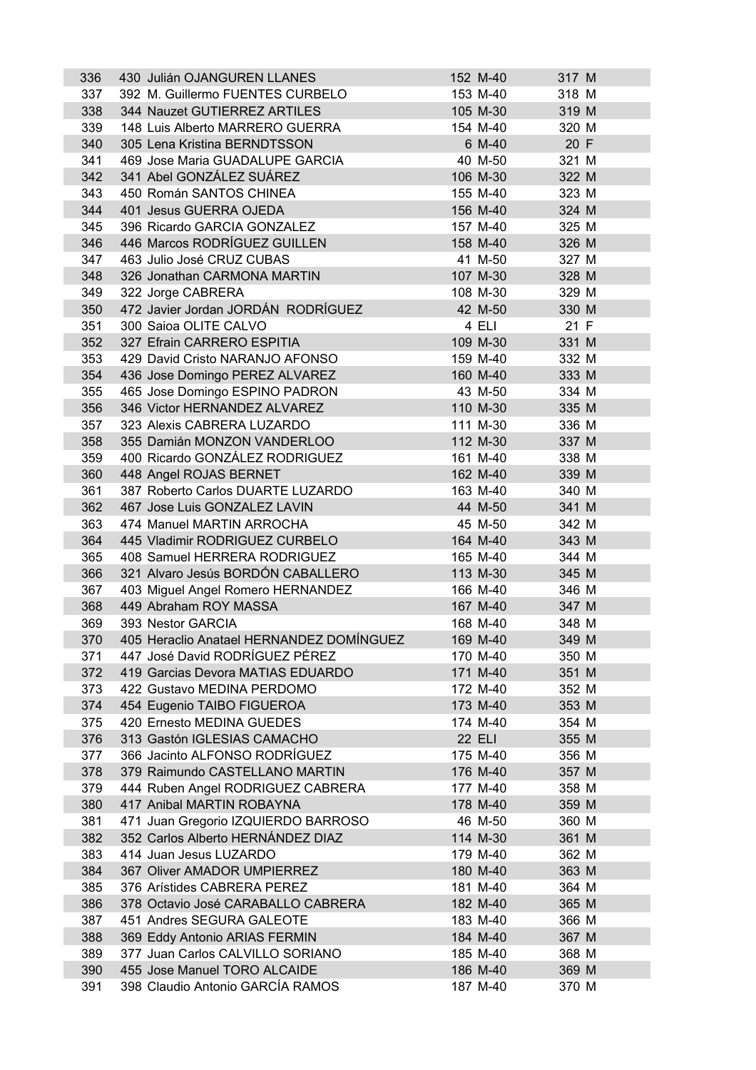| 336 | 430 Julián OJANGUREN LLANES              | 152 M-40      | 317 M |  |
|-----|------------------------------------------|---------------|-------|--|
| 337 | 392 M. Guillermo FUENTES CURBELO         | 153 M-40      | 318 M |  |
| 338 | 344 Nauzet GUTIERREZ ARTILES             | 105 M-30      | 319 M |  |
| 339 | 148 Luis Alberto MARRERO GUERRA          | 154 M-40      | 320 M |  |
| 340 | 305 Lena Kristina BERNDTSSON             | 6 M-40        | 20 F  |  |
| 341 | 469 Jose Maria GUADALUPE GARCIA          | 40 M-50       | 321 M |  |
| 342 | 341 Abel GONZÁLEZ SUÁREZ                 | 106 M-30      | 322 M |  |
| 343 | 450 Román SANTOS CHINEA                  | 155 M-40      | 323 M |  |
| 344 | 401 Jesus GUERRA OJEDA                   | 156 M-40      | 324 M |  |
| 345 | 396 Ricardo GARCIA GONZALEZ              | 157 M-40      | 325 M |  |
| 346 | 446 Marcos RODRÍGUEZ GUILLEN             | 158 M-40      | 326 M |  |
| 347 | 463 Julio José CRUZ CUBAS                | 41 M-50       | 327 M |  |
| 348 | 326 Jonathan CARMONA MARTIN              | 107 M-30      | 328 M |  |
| 349 | 322 Jorge CABRERA                        | 108 M-30      | 329 M |  |
| 350 | 472 Javier Jordan JORDÁN RODRÍGUEZ       | 42 M-50       | 330 M |  |
| 351 | 300 Saioa OLITE CALVO                    | 4 ELI         | 21 F  |  |
| 352 | 327 Efrain CARRERO ESPITIA               | 109 M-30      | 331 M |  |
| 353 | 429 David Cristo NARANJO AFONSO          | 159 M-40      | 332 M |  |
| 354 | 436 Jose Domingo PEREZ ALVAREZ           | 160 M-40      | 333 M |  |
| 355 | 465 Jose Domingo ESPINO PADRON           | 43 M-50       | 334 M |  |
| 356 | 346 Victor HERNANDEZ ALVAREZ             | 110 M-30      | 335 M |  |
| 357 | 323 Alexis CABRERA LUZARDO               | 111 M-30      | 336 M |  |
| 358 | 355 Damián MONZON VANDERLOO              | 112 M-30      | 337 M |  |
| 359 | 400 Ricardo GONZÁLEZ RODRIGUEZ           | 161 M-40      | 338 M |  |
| 360 | 448 Angel ROJAS BERNET                   | 162 M-40      | 339 M |  |
| 361 | 387 Roberto Carlos DUARTE LUZARDO        | 163 M-40      | 340 M |  |
| 362 | 467 Jose Luis GONZALEZ LAVIN             | 44 M-50       | 341 M |  |
| 363 | 474 Manuel MARTIN ARROCHA                | 45 M-50       | 342 M |  |
| 364 | 445 Vladimir RODRIGUEZ CURBELO           | 164 M-40      | 343 M |  |
| 365 | 408 Samuel HERRERA RODRIGUEZ             | 165 M-40      | 344 M |  |
| 366 | 321 Alvaro Jesús BORDÓN CABALLERO        | 113 M-30      | 345 M |  |
| 367 | 403 Miguel Angel Romero HERNANDEZ        | 166 M-40      | 346 M |  |
| 368 | 449 Abraham ROY MASSA                    | 167 M-40      | 347 M |  |
| 369 | 393 Nestor GARCIA                        | 168 M-40      | 348 M |  |
| 370 | 405 Heraclio Anatael HERNANDEZ DOMÍNGUEZ | 169 M-40      | 349 M |  |
| 371 | 447 José David RODRÍGUEZ PÉREZ           | 170 M-40      | 350 M |  |
| 372 | 419 Garcias Devora MATIAS EDUARDO        | 171 M-40      | 351 M |  |
| 373 | 422 Gustavo MEDINA PERDOMO               | 172 M-40      | 352 M |  |
| 374 | 454 Eugenio TAIBO FIGUEROA               | 173 M-40      | 353 M |  |
| 375 | 420 Ernesto MEDINA GUEDES                | 174 M-40      | 354 M |  |
| 376 | 313 Gastón IGLESIAS CAMACHO              | <b>22 ELI</b> | 355 M |  |
| 377 | 366 Jacinto ALFONSO RODRÍGUEZ            | 175 M-40      | 356 M |  |
| 378 | 379 Raimundo CASTELLANO MARTIN           | 176 M-40      | 357 M |  |
| 379 | 444 Ruben Angel RODRIGUEZ CABRERA        | 177 M-40      | 358 M |  |
| 380 | 417 Anibal MARTIN ROBAYNA                | 178 M-40      | 359 M |  |
| 381 | 471 Juan Gregorio IZQUIERDO BARROSO      | 46 M-50       | 360 M |  |
| 382 | 352 Carlos Alberto HERNÁNDEZ DIAZ        | 114 M-30      | 361 M |  |
| 383 | 414 Juan Jesus LUZARDO                   | 179 M-40      | 362 M |  |
| 384 | 367 Oliver AMADOR UMPIERREZ              | 180 M-40      | 363 M |  |
| 385 | 376 Arístides CABRERA PEREZ              | 181 M-40      | 364 M |  |
| 386 | 378 Octavio José CARABALLO CABRERA       | 182 M-40      | 365 M |  |
| 387 | 451 Andres SEGURA GALEOTE                | 183 M-40      | 366 M |  |
| 388 | 369 Eddy Antonio ARIAS FERMIN            | 184 M-40      | 367 M |  |
| 389 | 377 Juan Carlos CALVILLO SORIANO         | 185 M-40      | 368 M |  |
| 390 | 455 Jose Manuel TORO ALCAIDE             | 186 M-40      | 369 M |  |
| 391 | 398 Claudio Antonio GARCÍA RAMOS         | 187 M-40      | 370 M |  |
|     |                                          |               |       |  |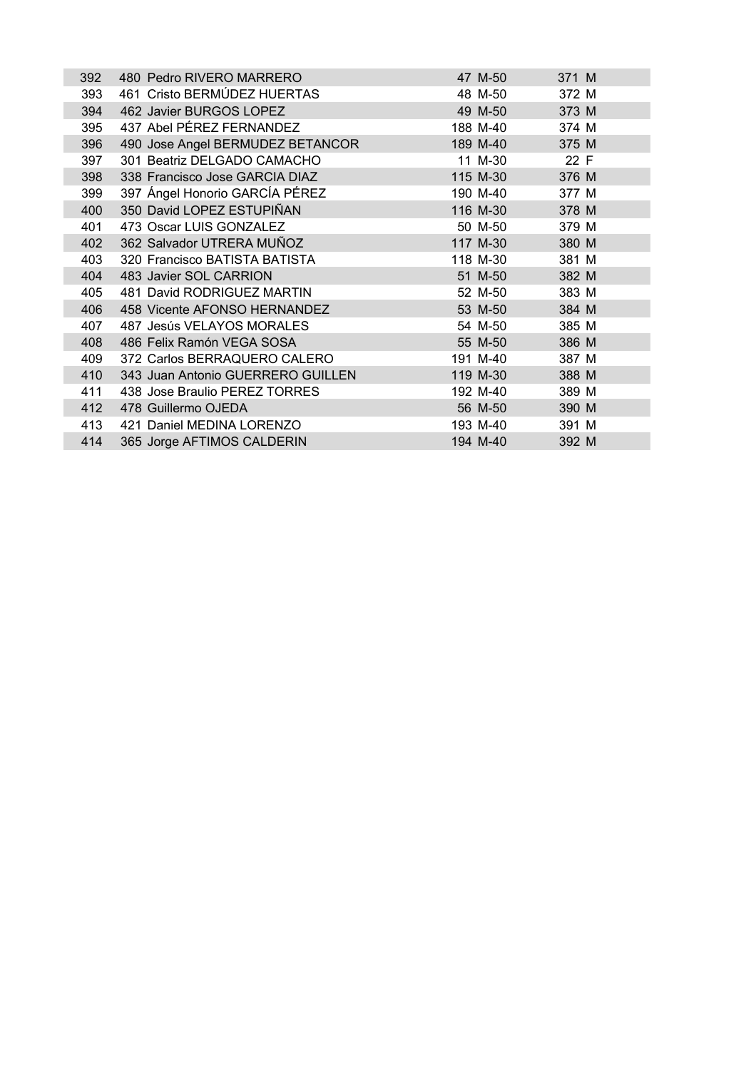| 392 | 480 Pedro RIVERO MARRERO          | 47 M-50  | 371 M |
|-----|-----------------------------------|----------|-------|
| 393 | 461 Cristo BERMÚDEZ HUERTAS       | 48 M-50  | 372 M |
| 394 | 462 Javier BURGOS LOPEZ           | 49 M-50  | 373 M |
| 395 | 437 Abel PÉREZ FERNANDEZ          | 188 M-40 | 374 M |
| 396 | 490 Jose Angel BERMUDEZ BETANCOR  | 189 M-40 | 375 M |
| 397 | 301 Beatriz DELGADO CAMACHO       | 11 M-30  | 22 F  |
| 398 | 338 Francisco Jose GARCIA DIAZ    | 115 M-30 | 376 M |
| 399 | 397 Ángel Honorio GARCÍA PÉREZ    | 190 M-40 | 377 M |
| 400 | 350 David LOPEZ ESTUPIÑAN         | 116 M-30 | 378 M |
| 401 | 473 Oscar LUIS GONZALEZ           | 50 M-50  | 379 M |
| 402 | 362 Salvador UTRERA MUÑOZ         | 117 M-30 | 380 M |
| 403 | 320 Francisco BATISTA BATISTA     | 118 M-30 | 381 M |
| 404 | 483 Javier SOL CARRION            | 51 M-50  | 382 M |
| 405 | 481 David RODRIGUEZ MARTIN        | 52 M-50  | 383 M |
| 406 | 458 Vicente AFONSO HERNANDEZ      | 53 M-50  | 384 M |
| 407 | 487 Jesús VELAYOS MORALES         | 54 M-50  | 385 M |
| 408 | 486 Felix Ramón VEGA SOSA         | 55 M-50  | 386 M |
| 409 | 372 Carlos BERRAQUERO CALERO      | 191 M-40 | 387 M |
| 410 | 343 Juan Antonio GUERRERO GUILLEN | 119 M-30 | 388 M |
| 411 | 438 Jose Braulio PEREZ TORRES     | 192 M-40 | 389 M |
| 412 | 478 Guillermo OJEDA               | 56 M-50  | 390 M |
| 413 | 421 Daniel MEDINA LORENZO         | 193 M-40 | 391 M |
| 414 | 365 Jorge AFTIMOS CALDERIN        | 194 M-40 | 392 M |
|     |                                   |          |       |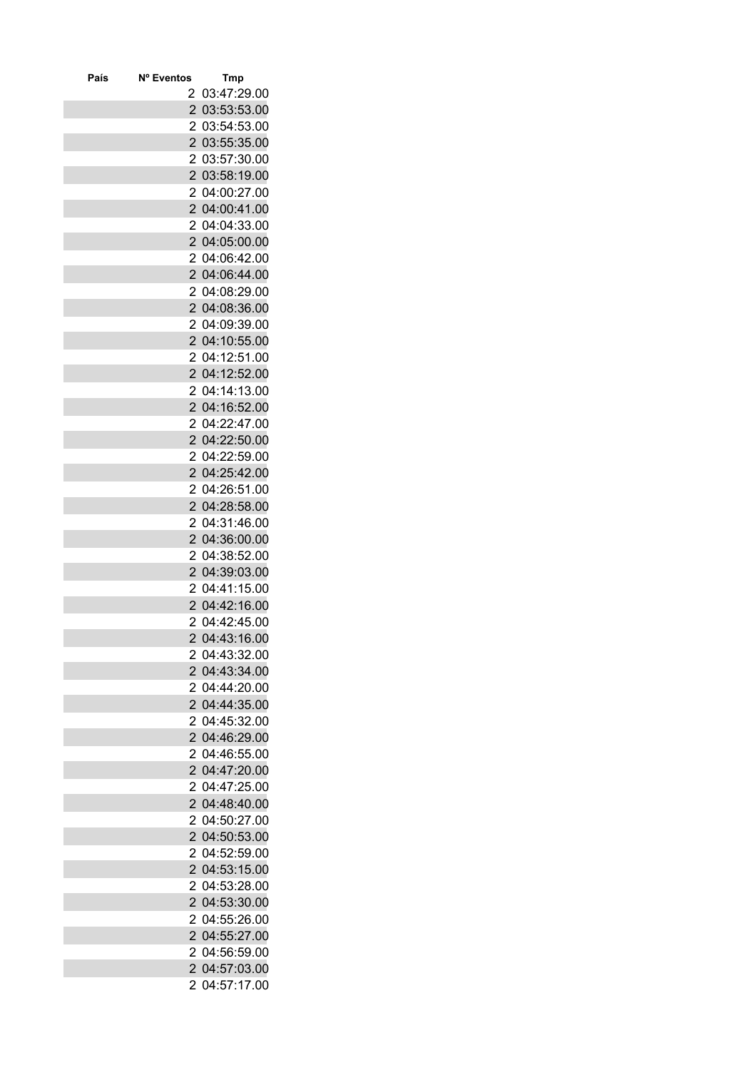| 03:47:29.00<br>2<br>$\overline{2}$<br>03:53:53.00<br>2<br>03:54:53.00<br>$\overline{2}$<br>03:55:35.00<br>03:57:30.00<br>2<br>03:58:19.00<br>2<br>04:00:27.00<br>2<br>$\overline{c}$<br>04:00:41.00<br>$\overline{2}$<br>04:04:33.00<br>$\overline{2}$<br>04:05:00.00<br>2<br>04:06:42.00<br>2<br>04:06:44.00<br>04:08:29.00<br>2<br>$\overline{2}$<br>04:08:36.00<br>$\overline{2}$<br>04:09:39.00<br>$\overline{2}$<br>04:10:55.00<br>04:12:51.00<br>2<br>04:12:52.00<br>$\overline{2}$<br>04:14:13.00<br>2<br>$\overline{2}$<br>04:16:52.00<br>$\overline{2}$<br>04:22:47.00<br>$\overline{2}$<br>04:22:50.00<br>2<br>04:22:59.00<br>2<br>04:25:42.00<br>04:26:51.00<br>2<br>$\overline{2}$<br>04:28:58.00<br>$\overline{2}$<br>04:31:46.00<br>$\overline{2}$<br>04:36:00.00<br>04:38:52.00<br>2<br>04:39:03.00<br>2<br>04:41:15.00<br>2<br>$\overline{2}$<br>04:42:16.00<br>$\overline{2}$<br>04:42:45.00<br>$\overline{c}$<br>04:43:16.00<br>2<br>04:43:32.00<br>04:43:34.00<br>2<br>04:44:20.00<br>2<br>$\overline{2}$<br>04:44:35.00<br>$\overline{2}$<br>04:45:32.00<br>$\overline{2}$<br>04:46:29.00<br>2<br>04:46:55.00<br>04:47:20.00<br>2<br>2<br>04:47:25.00<br>2 04:48:40.00<br>2 04:50:27.00<br>$\overline{2}$<br>04:50:53.00<br>2<br>04:52:59.00<br>$\overline{2}$<br>04:53:15.00<br>04:53:28.00<br>2<br>2 <sup>1</sup><br>04:53:30.00<br>$\overline{2}$<br>04:55:26.00<br>$\overline{2}$<br>04:55:27.00<br>04:56:59.00<br>2<br>04:57:03.00<br>2<br>04:57:17.00<br>2 | País | Nº Eventos | <b>Tmp</b> |
|--------------------------------------------------------------------------------------------------------------------------------------------------------------------------------------------------------------------------------------------------------------------------------------------------------------------------------------------------------------------------------------------------------------------------------------------------------------------------------------------------------------------------------------------------------------------------------------------------------------------------------------------------------------------------------------------------------------------------------------------------------------------------------------------------------------------------------------------------------------------------------------------------------------------------------------------------------------------------------------------------------------------------------------------------------------------------------------------------------------------------------------------------------------------------------------------------------------------------------------------------------------------------------------------------------------------------------------------------------------------------------------------------------------------------------------------------------------------------------------|------|------------|------------|
|                                                                                                                                                                                                                                                                                                                                                                                                                                                                                                                                                                                                                                                                                                                                                                                                                                                                                                                                                                                                                                                                                                                                                                                                                                                                                                                                                                                                                                                                                      |      |            |            |
|                                                                                                                                                                                                                                                                                                                                                                                                                                                                                                                                                                                                                                                                                                                                                                                                                                                                                                                                                                                                                                                                                                                                                                                                                                                                                                                                                                                                                                                                                      |      |            |            |
|                                                                                                                                                                                                                                                                                                                                                                                                                                                                                                                                                                                                                                                                                                                                                                                                                                                                                                                                                                                                                                                                                                                                                                                                                                                                                                                                                                                                                                                                                      |      |            |            |
|                                                                                                                                                                                                                                                                                                                                                                                                                                                                                                                                                                                                                                                                                                                                                                                                                                                                                                                                                                                                                                                                                                                                                                                                                                                                                                                                                                                                                                                                                      |      |            |            |
|                                                                                                                                                                                                                                                                                                                                                                                                                                                                                                                                                                                                                                                                                                                                                                                                                                                                                                                                                                                                                                                                                                                                                                                                                                                                                                                                                                                                                                                                                      |      |            |            |
|                                                                                                                                                                                                                                                                                                                                                                                                                                                                                                                                                                                                                                                                                                                                                                                                                                                                                                                                                                                                                                                                                                                                                                                                                                                                                                                                                                                                                                                                                      |      |            |            |
|                                                                                                                                                                                                                                                                                                                                                                                                                                                                                                                                                                                                                                                                                                                                                                                                                                                                                                                                                                                                                                                                                                                                                                                                                                                                                                                                                                                                                                                                                      |      |            |            |
|                                                                                                                                                                                                                                                                                                                                                                                                                                                                                                                                                                                                                                                                                                                                                                                                                                                                                                                                                                                                                                                                                                                                                                                                                                                                                                                                                                                                                                                                                      |      |            |            |
|                                                                                                                                                                                                                                                                                                                                                                                                                                                                                                                                                                                                                                                                                                                                                                                                                                                                                                                                                                                                                                                                                                                                                                                                                                                                                                                                                                                                                                                                                      |      |            |            |
|                                                                                                                                                                                                                                                                                                                                                                                                                                                                                                                                                                                                                                                                                                                                                                                                                                                                                                                                                                                                                                                                                                                                                                                                                                                                                                                                                                                                                                                                                      |      |            |            |
|                                                                                                                                                                                                                                                                                                                                                                                                                                                                                                                                                                                                                                                                                                                                                                                                                                                                                                                                                                                                                                                                                                                                                                                                                                                                                                                                                                                                                                                                                      |      |            |            |
|                                                                                                                                                                                                                                                                                                                                                                                                                                                                                                                                                                                                                                                                                                                                                                                                                                                                                                                                                                                                                                                                                                                                                                                                                                                                                                                                                                                                                                                                                      |      |            |            |
|                                                                                                                                                                                                                                                                                                                                                                                                                                                                                                                                                                                                                                                                                                                                                                                                                                                                                                                                                                                                                                                                                                                                                                                                                                                                                                                                                                                                                                                                                      |      |            |            |
|                                                                                                                                                                                                                                                                                                                                                                                                                                                                                                                                                                                                                                                                                                                                                                                                                                                                                                                                                                                                                                                                                                                                                                                                                                                                                                                                                                                                                                                                                      |      |            |            |
|                                                                                                                                                                                                                                                                                                                                                                                                                                                                                                                                                                                                                                                                                                                                                                                                                                                                                                                                                                                                                                                                                                                                                                                                                                                                                                                                                                                                                                                                                      |      |            |            |
|                                                                                                                                                                                                                                                                                                                                                                                                                                                                                                                                                                                                                                                                                                                                                                                                                                                                                                                                                                                                                                                                                                                                                                                                                                                                                                                                                                                                                                                                                      |      |            |            |
|                                                                                                                                                                                                                                                                                                                                                                                                                                                                                                                                                                                                                                                                                                                                                                                                                                                                                                                                                                                                                                                                                                                                                                                                                                                                                                                                                                                                                                                                                      |      |            |            |
|                                                                                                                                                                                                                                                                                                                                                                                                                                                                                                                                                                                                                                                                                                                                                                                                                                                                                                                                                                                                                                                                                                                                                                                                                                                                                                                                                                                                                                                                                      |      |            |            |
|                                                                                                                                                                                                                                                                                                                                                                                                                                                                                                                                                                                                                                                                                                                                                                                                                                                                                                                                                                                                                                                                                                                                                                                                                                                                                                                                                                                                                                                                                      |      |            |            |
|                                                                                                                                                                                                                                                                                                                                                                                                                                                                                                                                                                                                                                                                                                                                                                                                                                                                                                                                                                                                                                                                                                                                                                                                                                                                                                                                                                                                                                                                                      |      |            |            |
|                                                                                                                                                                                                                                                                                                                                                                                                                                                                                                                                                                                                                                                                                                                                                                                                                                                                                                                                                                                                                                                                                                                                                                                                                                                                                                                                                                                                                                                                                      |      |            |            |
|                                                                                                                                                                                                                                                                                                                                                                                                                                                                                                                                                                                                                                                                                                                                                                                                                                                                                                                                                                                                                                                                                                                                                                                                                                                                                                                                                                                                                                                                                      |      |            |            |
|                                                                                                                                                                                                                                                                                                                                                                                                                                                                                                                                                                                                                                                                                                                                                                                                                                                                                                                                                                                                                                                                                                                                                                                                                                                                                                                                                                                                                                                                                      |      |            |            |
|                                                                                                                                                                                                                                                                                                                                                                                                                                                                                                                                                                                                                                                                                                                                                                                                                                                                                                                                                                                                                                                                                                                                                                                                                                                                                                                                                                                                                                                                                      |      |            |            |
|                                                                                                                                                                                                                                                                                                                                                                                                                                                                                                                                                                                                                                                                                                                                                                                                                                                                                                                                                                                                                                                                                                                                                                                                                                                                                                                                                                                                                                                                                      |      |            |            |
|                                                                                                                                                                                                                                                                                                                                                                                                                                                                                                                                                                                                                                                                                                                                                                                                                                                                                                                                                                                                                                                                                                                                                                                                                                                                                                                                                                                                                                                                                      |      |            |            |
|                                                                                                                                                                                                                                                                                                                                                                                                                                                                                                                                                                                                                                                                                                                                                                                                                                                                                                                                                                                                                                                                                                                                                                                                                                                                                                                                                                                                                                                                                      |      |            |            |
|                                                                                                                                                                                                                                                                                                                                                                                                                                                                                                                                                                                                                                                                                                                                                                                                                                                                                                                                                                                                                                                                                                                                                                                                                                                                                                                                                                                                                                                                                      |      |            |            |
|                                                                                                                                                                                                                                                                                                                                                                                                                                                                                                                                                                                                                                                                                                                                                                                                                                                                                                                                                                                                                                                                                                                                                                                                                                                                                                                                                                                                                                                                                      |      |            |            |
|                                                                                                                                                                                                                                                                                                                                                                                                                                                                                                                                                                                                                                                                                                                                                                                                                                                                                                                                                                                                                                                                                                                                                                                                                                                                                                                                                                                                                                                                                      |      |            |            |
|                                                                                                                                                                                                                                                                                                                                                                                                                                                                                                                                                                                                                                                                                                                                                                                                                                                                                                                                                                                                                                                                                                                                                                                                                                                                                                                                                                                                                                                                                      |      |            |            |
|                                                                                                                                                                                                                                                                                                                                                                                                                                                                                                                                                                                                                                                                                                                                                                                                                                                                                                                                                                                                                                                                                                                                                                                                                                                                                                                                                                                                                                                                                      |      |            |            |
|                                                                                                                                                                                                                                                                                                                                                                                                                                                                                                                                                                                                                                                                                                                                                                                                                                                                                                                                                                                                                                                                                                                                                                                                                                                                                                                                                                                                                                                                                      |      |            |            |
|                                                                                                                                                                                                                                                                                                                                                                                                                                                                                                                                                                                                                                                                                                                                                                                                                                                                                                                                                                                                                                                                                                                                                                                                                                                                                                                                                                                                                                                                                      |      |            |            |
|                                                                                                                                                                                                                                                                                                                                                                                                                                                                                                                                                                                                                                                                                                                                                                                                                                                                                                                                                                                                                                                                                                                                                                                                                                                                                                                                                                                                                                                                                      |      |            |            |
|                                                                                                                                                                                                                                                                                                                                                                                                                                                                                                                                                                                                                                                                                                                                                                                                                                                                                                                                                                                                                                                                                                                                                                                                                                                                                                                                                                                                                                                                                      |      |            |            |
|                                                                                                                                                                                                                                                                                                                                                                                                                                                                                                                                                                                                                                                                                                                                                                                                                                                                                                                                                                                                                                                                                                                                                                                                                                                                                                                                                                                                                                                                                      |      |            |            |
|                                                                                                                                                                                                                                                                                                                                                                                                                                                                                                                                                                                                                                                                                                                                                                                                                                                                                                                                                                                                                                                                                                                                                                                                                                                                                                                                                                                                                                                                                      |      |            |            |
|                                                                                                                                                                                                                                                                                                                                                                                                                                                                                                                                                                                                                                                                                                                                                                                                                                                                                                                                                                                                                                                                                                                                                                                                                                                                                                                                                                                                                                                                                      |      |            |            |
|                                                                                                                                                                                                                                                                                                                                                                                                                                                                                                                                                                                                                                                                                                                                                                                                                                                                                                                                                                                                                                                                                                                                                                                                                                                                                                                                                                                                                                                                                      |      |            |            |
|                                                                                                                                                                                                                                                                                                                                                                                                                                                                                                                                                                                                                                                                                                                                                                                                                                                                                                                                                                                                                                                                                                                                                                                                                                                                                                                                                                                                                                                                                      |      |            |            |
|                                                                                                                                                                                                                                                                                                                                                                                                                                                                                                                                                                                                                                                                                                                                                                                                                                                                                                                                                                                                                                                                                                                                                                                                                                                                                                                                                                                                                                                                                      |      |            |            |
|                                                                                                                                                                                                                                                                                                                                                                                                                                                                                                                                                                                                                                                                                                                                                                                                                                                                                                                                                                                                                                                                                                                                                                                                                                                                                                                                                                                                                                                                                      |      |            |            |
|                                                                                                                                                                                                                                                                                                                                                                                                                                                                                                                                                                                                                                                                                                                                                                                                                                                                                                                                                                                                                                                                                                                                                                                                                                                                                                                                                                                                                                                                                      |      |            |            |
|                                                                                                                                                                                                                                                                                                                                                                                                                                                                                                                                                                                                                                                                                                                                                                                                                                                                                                                                                                                                                                                                                                                                                                                                                                                                                                                                                                                                                                                                                      |      |            |            |
|                                                                                                                                                                                                                                                                                                                                                                                                                                                                                                                                                                                                                                                                                                                                                                                                                                                                                                                                                                                                                                                                                                                                                                                                                                                                                                                                                                                                                                                                                      |      |            |            |
|                                                                                                                                                                                                                                                                                                                                                                                                                                                                                                                                                                                                                                                                                                                                                                                                                                                                                                                                                                                                                                                                                                                                                                                                                                                                                                                                                                                                                                                                                      |      |            |            |
|                                                                                                                                                                                                                                                                                                                                                                                                                                                                                                                                                                                                                                                                                                                                                                                                                                                                                                                                                                                                                                                                                                                                                                                                                                                                                                                                                                                                                                                                                      |      |            |            |
|                                                                                                                                                                                                                                                                                                                                                                                                                                                                                                                                                                                                                                                                                                                                                                                                                                                                                                                                                                                                                                                                                                                                                                                                                                                                                                                                                                                                                                                                                      |      |            |            |
|                                                                                                                                                                                                                                                                                                                                                                                                                                                                                                                                                                                                                                                                                                                                                                                                                                                                                                                                                                                                                                                                                                                                                                                                                                                                                                                                                                                                                                                                                      |      |            |            |
|                                                                                                                                                                                                                                                                                                                                                                                                                                                                                                                                                                                                                                                                                                                                                                                                                                                                                                                                                                                                                                                                                                                                                                                                                                                                                                                                                                                                                                                                                      |      |            |            |
|                                                                                                                                                                                                                                                                                                                                                                                                                                                                                                                                                                                                                                                                                                                                                                                                                                                                                                                                                                                                                                                                                                                                                                                                                                                                                                                                                                                                                                                                                      |      |            |            |
|                                                                                                                                                                                                                                                                                                                                                                                                                                                                                                                                                                                                                                                                                                                                                                                                                                                                                                                                                                                                                                                                                                                                                                                                                                                                                                                                                                                                                                                                                      |      |            |            |
|                                                                                                                                                                                                                                                                                                                                                                                                                                                                                                                                                                                                                                                                                                                                                                                                                                                                                                                                                                                                                                                                                                                                                                                                                                                                                                                                                                                                                                                                                      |      |            |            |
|                                                                                                                                                                                                                                                                                                                                                                                                                                                                                                                                                                                                                                                                                                                                                                                                                                                                                                                                                                                                                                                                                                                                                                                                                                                                                                                                                                                                                                                                                      |      |            |            |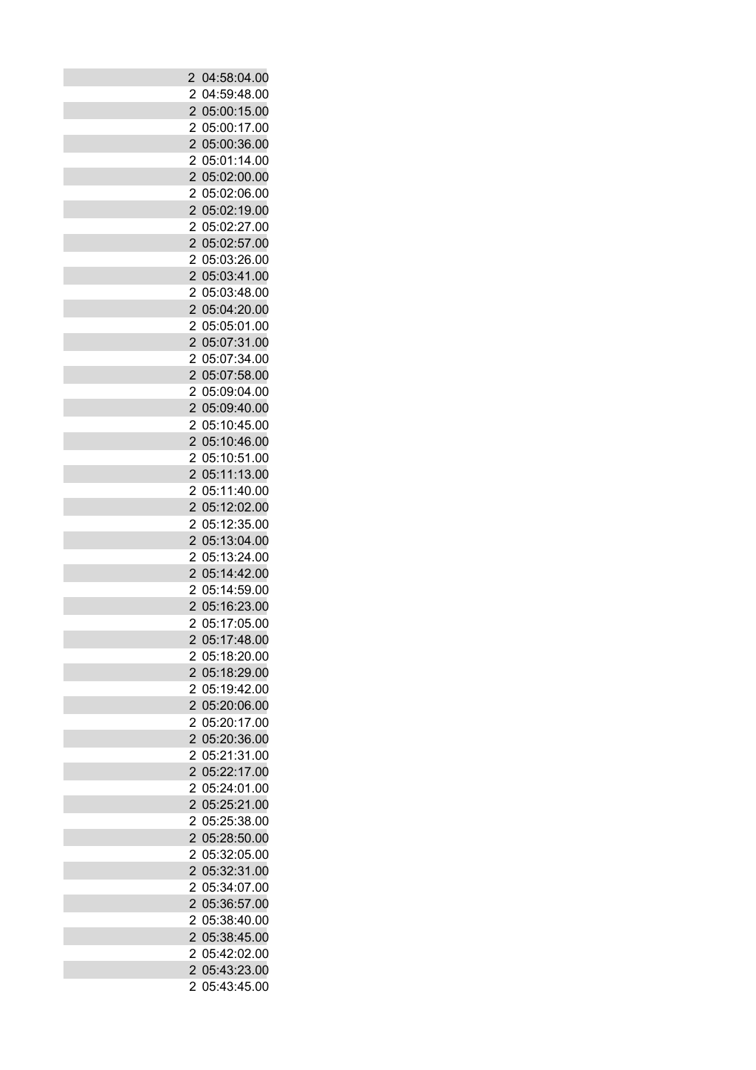| $\overline{2}$ | 04:58:04.00   |
|----------------|---------------|
| 2              | 04:59:48.00   |
| $\overline{2}$ | 05:00:15.00   |
| 2              | 05:00:17.00   |
| $\overline{2}$ | 05:00:36.00   |
| 2              | 05:01:14.00   |
| $\overline{2}$ | 05:02:00.00   |
| 2              | 05:02:06.00   |
| $\overline{2}$ | 05:02:19.00   |
| 2              | 05:02:27.00   |
| $\overline{2}$ | 05:02:57.00   |
| 2              | 05:03:26.00   |
| $\overline{2}$ | 05:03:41.00   |
| 2              | 05:03:48.00   |
| $\overline{2}$ | 05:04:20.00   |
| $\overline{c}$ | 05:05:01.00   |
| $\overline{2}$ | 05:07:31.00   |
| 2              | 05:07:34.00   |
| $\overline{2}$ | 05:07:58.00   |
| 2              | 05:09:04.00   |
| $\overline{2}$ | 05:09:40.00   |
| $\overline{c}$ | 05:10:45.00   |
| $\overline{2}$ | 05:10:46.00   |
| 2              | 05:10:51.00   |
| $\overline{2}$ | 05:11:13.00   |
| 2              | 05:11:40.00   |
| $\overline{2}$ | 05:12:02.00   |
| $\overline{c}$ | 05:12:35.00   |
| $\overline{2}$ | 05:13:04.00   |
| 2              | 05:13:24.00   |
| $\overline{2}$ | 05:14:42.00   |
| 2              | 05:14:59.00   |
| $\overline{2}$ | 05:16:23.00   |
|                | 05:17:05.00   |
| 2              |               |
|                | 2 05:17:48.00 |
| 2              | 05:18:20.00   |
| $\overline{2}$ | 05:18:29.00   |
| 2              | 05:19:42.00   |
| $\overline{2}$ | 05:20:06.00   |
| 2              | 05:20:17.00   |
| $\overline{2}$ | 05:20:36.00   |
| 2              | 05:21:31.00   |
| $\overline{2}$ | 05:22:17.00   |
| 2              | 05:24:01.00   |
| $\overline{2}$ | 05:25:21.00   |
| 2              | 05:25:38.00   |
| $\overline{2}$ | 05:28:50.00   |
| 2              | 05:32:05.00   |
| $\overline{2}$ | 05:32:31.00   |
| $\overline{2}$ | 05:34:07.00   |
| $\overline{2}$ | 05:36:57.00   |
| 2              | 05:38:40.00   |
| $\overline{2}$ | 05:38:45.00   |
| 2              | 05:42:02.00   |
| $\overline{2}$ | 05:43:23.00   |
| $\overline{2}$ | 05:43:45.00   |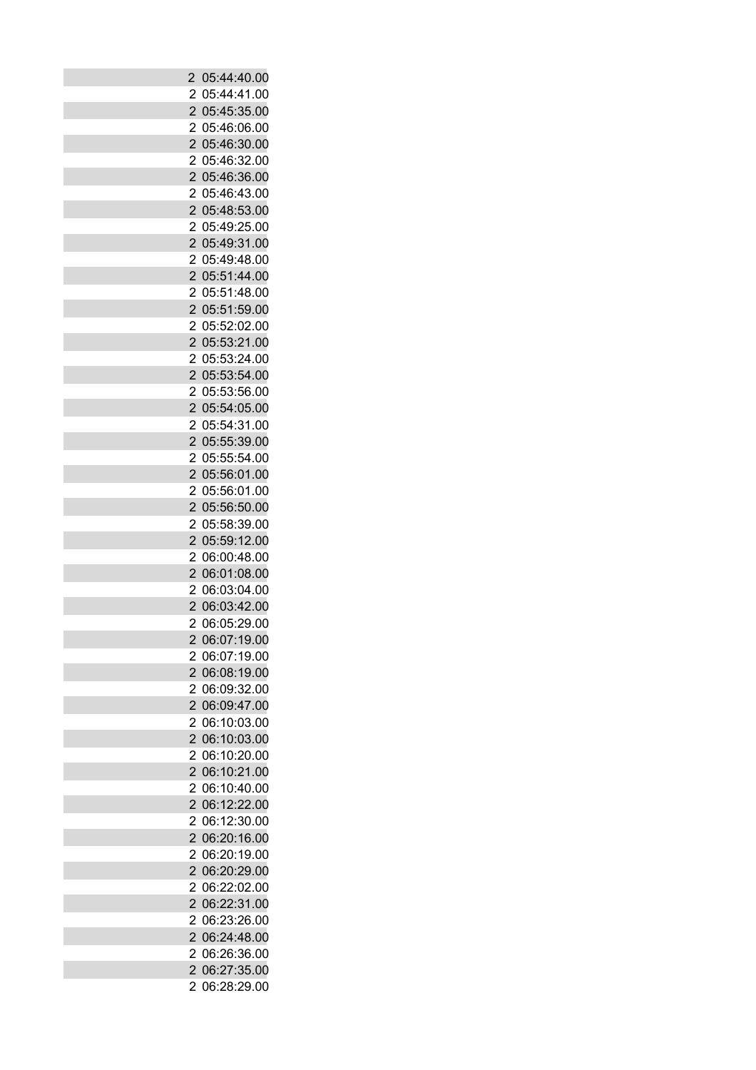| $\overline{c}$      | 05:44:40.00   |
|---------------------|---------------|
| 2                   | 05:44:41.00   |
| $\overline{2}$      | 05:45:35.00   |
| 2                   | 05:46:06.00   |
| $\overline{2}$      | 05:46:30.00   |
| 2                   | 05:46:32.00   |
| $\overline{2}$      | 05:46:36.00   |
| 2                   | 05:46:43.00   |
| $\overline{2}$      | 05:48:53.00   |
| 2                   | 05:49:25.00   |
| $\overline{2}$      | 05:49:31.00   |
| 2                   | 05:49:48.00   |
| $\overline{2}$      | 05:51:44.00   |
| 2                   | 05:51:48.00   |
| $\overline{2}$      | 05:51:59.00   |
|                     |               |
| 2<br>$\overline{2}$ | 05:52:02.00   |
|                     | 05:53:21.00   |
| 2                   | 05:53:24.00   |
| $\overline{2}$      | 05:53:54.00   |
| 2                   | 05:53:56.00   |
| $\overline{2}$      | 05:54:05.00   |
| $\overline{2}$      | 05:54:31.00   |
| $\overline{2}$      | 05:55:39.00   |
| 2                   | 05:55:54.00   |
| $\overline{2}$      | 05:56:01.00   |
| 2                   | 05:56:01.00   |
| $\overline{2}$      | 05:56:50.00   |
| 2                   | 05:58:39.00   |
| $\overline{2}$      | 05:59:12.00   |
| 2                   | 06:00:48.00   |
| $\overline{2}$      | 06:01:08.00   |
| 2                   | 06:03:04.00   |
| $\overline{2}$      | 06:03:42.00   |
| 2                   | 06:05:29.00   |
|                     | 2 06:07:19.00 |
| 2                   | 06:07:19.00   |
| $\overline{2}$      | 06:08:19.00   |
| 2                   | 06:09:32.00   |
| $\overline{2}$      | 06:09:47.00   |
| 2                   | 06:10:03.00   |
| $\overline{2}$      | 06:10:03.00   |
| 2                   | 06:10:20.00   |
| $\overline{2}$      | 06:10:21.00   |
| $\overline{2}$      | 06:10:40.00   |
| $\overline{2}$      | 06:12:22.00   |
| 2                   | 06:12:30.00   |
| 2                   | 06:20:16.00   |
| 2                   | 06:20:19.00   |
| $\overline{2}$      | 06:20:29.00   |
| 2                   | 06:22:02.00   |
| $\overline{2}$      | 06:22:31.00   |
| 2                   | 06:23:26.00   |
| 2                   | 06:24:48.00   |
| 2                   | 06:26:36.00   |
| $\overline{2}$      | 06:27:35.00   |
|                     |               |
| 2                   | 06:28:29.00   |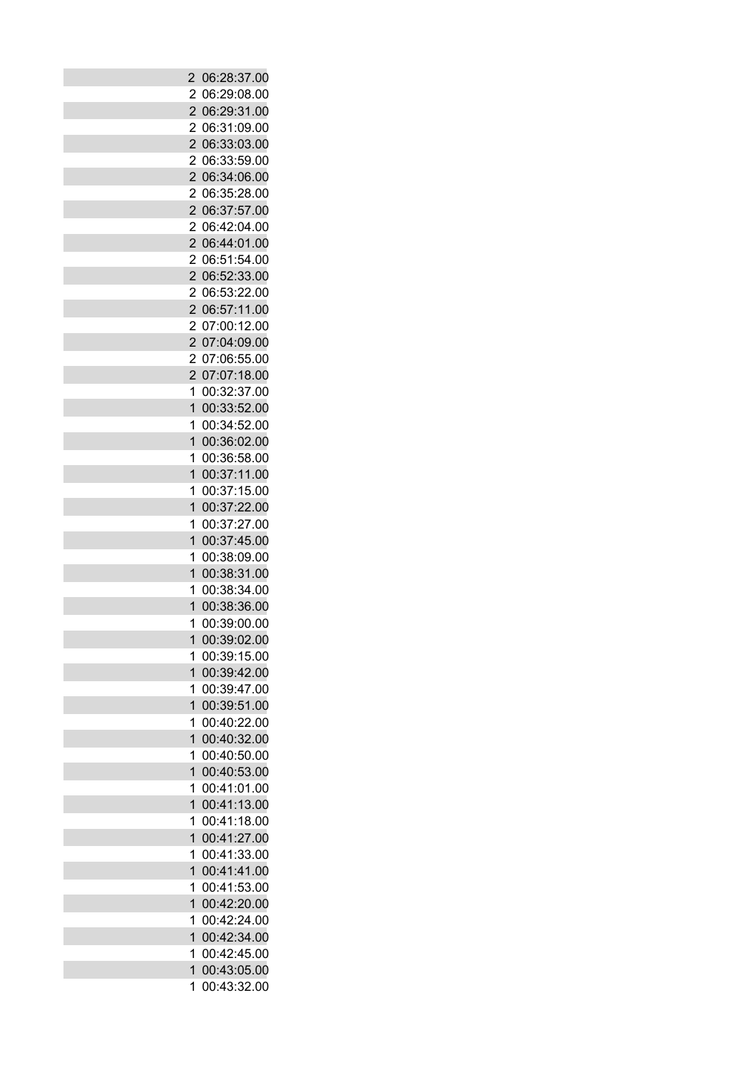| 2              | 06:28:37.00   |
|----------------|---------------|
| $\overline{2}$ | 06:29:08.00   |
|                |               |
| $\overline{2}$ | 06:29:31.00   |
| 2              | 06:31:09.00   |
| $\overline{2}$ | 06:33:03.00   |
| 2              | 06:33:59.00   |
| $\overline{2}$ | 06:34:06.00   |
| 2              | 06:35:28.00   |
| $\overline{2}$ | 06:37:57.00   |
| 2              | 06:42:04.00   |
| $\overline{2}$ | 06:44:01.00   |
| 2              | 06:51:54.00   |
| $\overline{2}$ | 06:52:33.00   |
| 2              | 06:53:22.00   |
| $\overline{2}$ | 06:57:11.00   |
| $\overline{2}$ | 07:00:12.00   |
| $\overline{2}$ | 07:04:09.00   |
| 2              | 07:06:55.00   |
| $\overline{2}$ | 07:07:18.00   |
| 1              | 00:32:37.00   |
| $\overline{1}$ | 00:33:52.00   |
| 1              | 00:34:52.00   |
| $\overline{1}$ | 00:36:02.00   |
|                |               |
| 1              | 00:36:58.00   |
| $\overline{1}$ | 00:37:11.00   |
| 1              | 00:37:15.00   |
| $\overline{1}$ | 00:37:22.00   |
| 1              | 00:37:27.00   |
| $\overline{1}$ | 00:37:45.00   |
| 1              | 00:38:09.00   |
| $\overline{1}$ | 00:38:31.00   |
| 1              | 00:38:34.00   |
| 1              | 00:38:36.00   |
| 1              | 00:39:00.00   |
|                | 1 00:39:02.00 |
| 1              | 00:39:15.00   |
| $\overline{1}$ | 00:39:42.00   |
| 1              | 00:39:47.00   |
| $\overline{1}$ | 00:39:51.00   |
| 1              | 00:40:22.00   |
| $\overline{1}$ | 00:40:32.00   |
| 1              | 00:40:50.00   |
| $\overline{1}$ | 00:40:53.00   |
| 1              | 00:41:01.00   |
| $\overline{1}$ | 00:41:13.00   |
| 1              | 00:41:18.00   |
| $\overline{1}$ | 00:41:27.00   |
| 1              | 00:41:33.00   |
| $\overline{1}$ | 00:41:41.00   |
|                |               |
| 1              | 00:41:53.00   |
| $\overline{1}$ | 00:42:20.00   |
| 1              | 00:42:24.00   |
| $\overline{1}$ | 00:42:34.00   |
| 1              | 00:42:45.00   |
| $\overline{1}$ | 00:43:05.00   |
| 1              | 00:43:32.00   |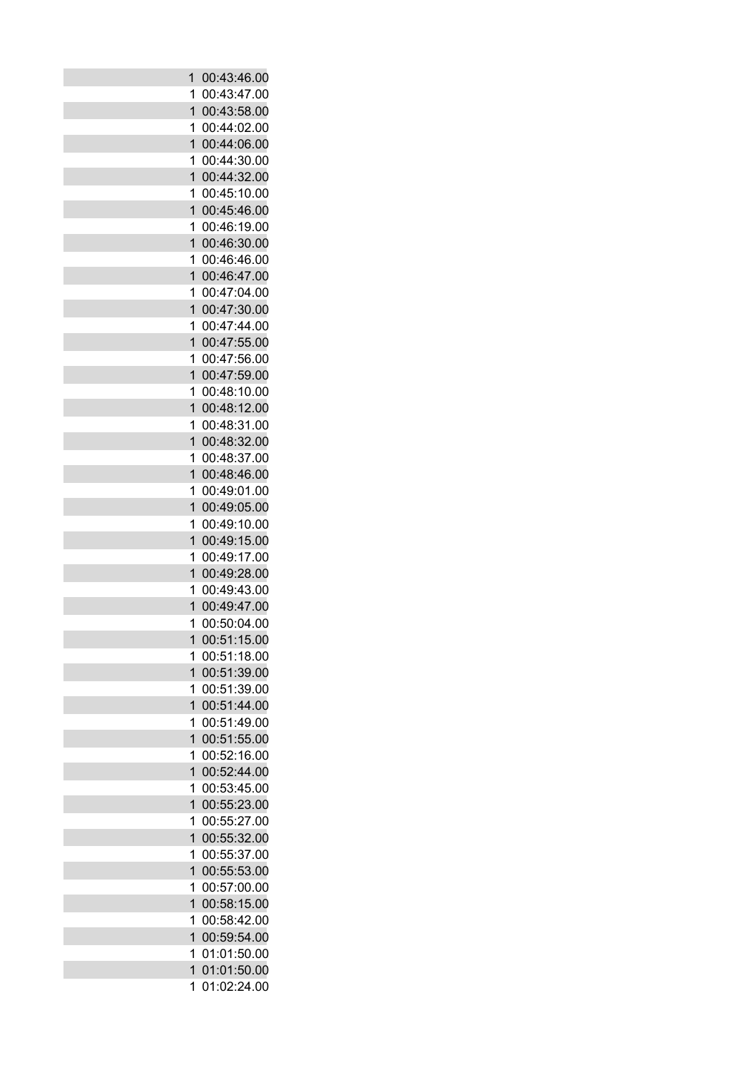| 1              | 00:43:46.00   |
|----------------|---------------|
| 1              | 00:43:47.00   |
| $\overline{1}$ | 00:43:58.00   |
| 1              | 00:44:02.00   |
| $\overline{1}$ | 00:44:06.00   |
| 1              | 00:44:30.00   |
| 1              | 00:44:32.00   |
| 1              | 00:45:10.00   |
| $\overline{1}$ | 00:45:46.00   |
| 1              | 00:46:19.00   |
| $\overline{1}$ | 00:46:30.00   |
| 1              | 00:46:46.00   |
| 1              | 00:46:47.00   |
| 1              | 00:47:04.00   |
| $\mathbf{1}$   | 00:47:30.00   |
| 1              | 00:47:44.00   |
| $\overline{1}$ | 00:47:55.00   |
| 1              | 00:47:56.00   |
| $\overline{1}$ | 00:47:59.00   |
| 1              | 00:48:10.00   |
| $\overline{1}$ | 00:48:12.00   |
| 1              | 00:48:31.00   |
| $\overline{1}$ | 00:48:32.00   |
| 1              | 00:48:37.00   |
| 1              | 00:48:46.00   |
| 1              | 00:49:01.00   |
| $\mathbf{1}$   | 00:49:05.00   |
| 1              | 00:49:10.00   |
| $\overline{1}$ | 00:49:15.00   |
| 1              | 00:49:17.00   |
| $\overline{1}$ | 00:49:28.00   |
| 1              | 00:49:43.00   |
| 1              | 00:49:47.00   |
| 1              | 00:50:04.00   |
|                | 1 00:51:15.00 |
| 1              | 00:51:18.00   |
| $\overline{1}$ | 00:51:39.00   |
| 1              | 00:51:39.00   |
| $\overline{1}$ | 00:51:44.00   |
| 1              | 00:51:49.00   |
| $\overline{1}$ | 00:51:55.00   |
| 1              | 00:52:16.00   |
| 1              | 00:52:44.00   |
| 1              | 00:53:45.00   |
| $\mathbf{1}$   | 00:55:23.00   |
| 1              | 00:55:27.00   |
| $\overline{1}$ | 00:55:32.00   |
| 1              | 00:55:37.00   |
| $\overline{1}$ | 00:55:53.00   |
| 1              | 00:57:00.00   |
| $\mathbf{1}$   | 00:58:15.00   |
| 1              | 00:58:42.00   |
| $\overline{1}$ | 00:59:54.00   |
| 1              | 01:01:50.00   |
| $\overline{1}$ | 01:01:50.00   |
| 1              | 01:02:24.00   |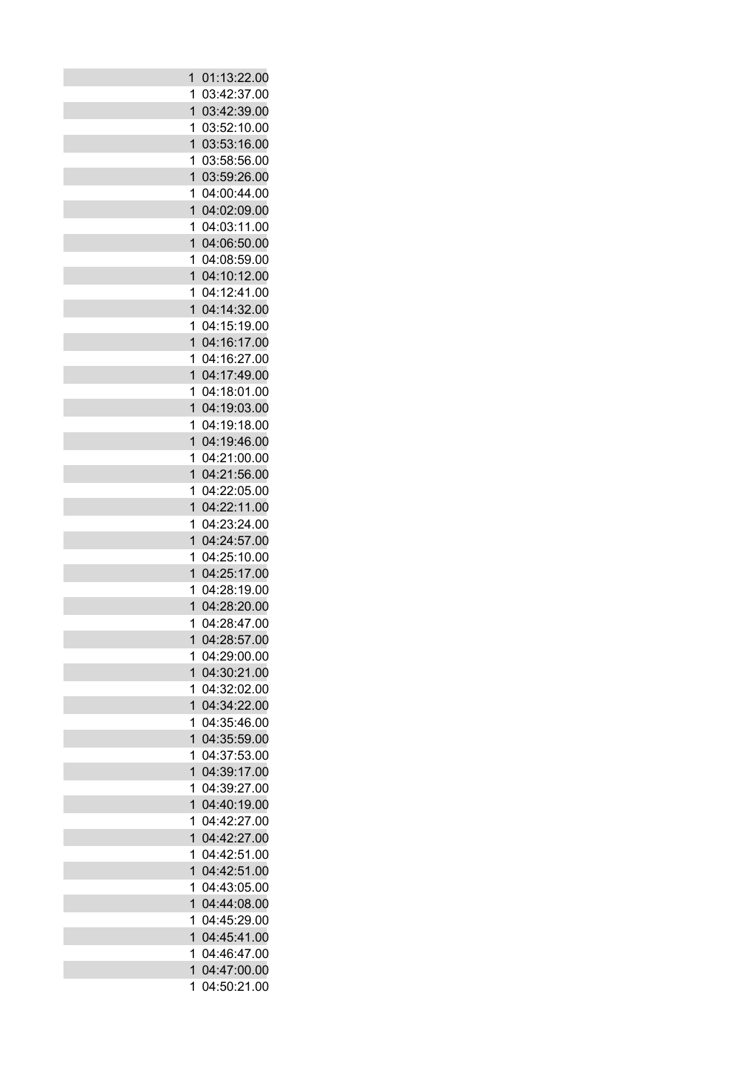| 1              | 01:13:22.00   |
|----------------|---------------|
| 1              | 03:42:37.00   |
| $\overline{1}$ | 03:42:39.00   |
| 1              | 03:52:10.00   |
| $\overline{1}$ | 03:53:16.00   |
| 1              | 03:58:56.00   |
| $\overline{1}$ | 03:59:26.00   |
| 1              | 04:00:44.00   |
| $\overline{1}$ | 04:02:09.00   |
| 1              | 04:03:11.00   |
| $\overline{1}$ |               |
|                | 04:06:50.00   |
| 1              | 04:08:59.00   |
| 1              | 04:10:12.00   |
| 1              | 04:12:41.00   |
| $\overline{1}$ | 04:14:32.00   |
| 1              | 04:15:19.00   |
| $\overline{1}$ | 04:16:17.00   |
| 1              | 04:16:27.00   |
| $\overline{1}$ | 04:17:49.00   |
| 1              | 04:18:01.00   |
| $\overline{1}$ | 04:19:03.00   |
| 1              | 04:19:18.00   |
| 1              | 04:19:46.00   |
| 1              | 04:21:00.00   |
| 1              | 04:21:56.00   |
| 1              | 04:22:05.00   |
| $\overline{1}$ | 04:22:11.00   |
| 1              | 04:23:24.00   |
| $\overline{1}$ | 04:24:57.00   |
| 1              | 04:25:10.00   |
| $\overline{1}$ | 04:25:17.00   |
| 1              | 04:28:19.00   |
| 1              | 04:28:20.00   |
| 1              | 04:28:47.00   |
|                | 1 04:28:57.00 |
| 1              | 04:29:00.00   |
| $\overline{1}$ | 04:30:21.00   |
| 1              | 04:32:02.00   |
| $\overline{1}$ | 04:34:22.00   |
| 1              | 04:35:46.00   |
| $\overline{1}$ | 04:35:59.00   |
| 1              | 04:37:53.00   |
| $\overline{1}$ | 04:39:17.00   |
| 1              | 04:39:27.00   |
| $\overline{1}$ | 04:40:19.00   |
| 1              | 04:42:27.00   |
| $\overline{1}$ | 04:42:27.00   |
| 1              | 04:42:51.00   |
| $\overline{1}$ | 04:42:51.00   |
| 1              | 04:43:05.00   |
| $\overline{1}$ | 04:44:08.00   |
| 1              | 04:45:29.00   |
| $\overline{1}$ | 04:45:41.00   |
| 1              | 04:46:47.00   |
| $\overline{1}$ | 04:47:00.00   |
| 1              | 04:50:21.00   |
|                |               |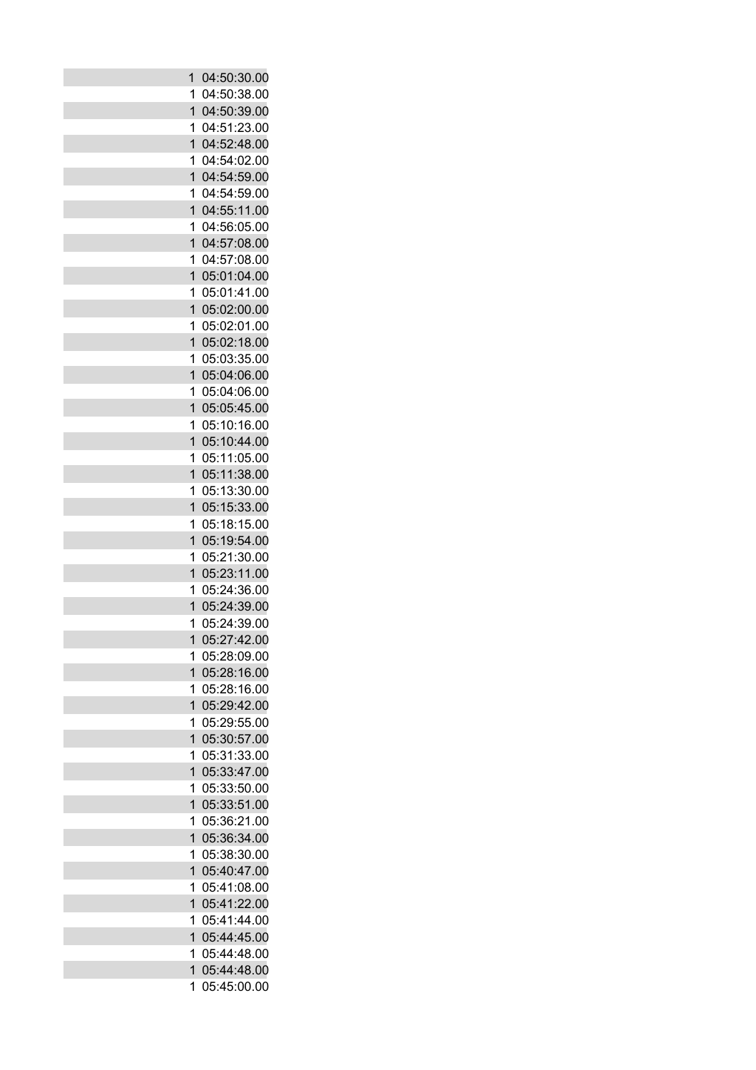| 1                   | 04:50:30.00                |
|---------------------|----------------------------|
| 1                   | 04:50:38.00                |
| $\mathbf{1}$        | 04:50:39.00                |
| 1                   | 04:51:23.00                |
| $\overline{1}$      | 04:52:48.00                |
| 1                   | 04:54:02.00                |
| $\overline{1}$      | 04:54:59.00                |
| 1                   | 04:54:59.00                |
| $\overline{1}$      | 04:55:11.00                |
| 1                   | 04:56:05.00                |
| $\overline{1}$      | 04:57:08.00                |
| 1                   | 04:57:08.00                |
| 1                   | 05:01:04.00                |
| 1                   | 05:01:41.00                |
| $\overline{1}$      | 05:02:00.00                |
| 1                   | 05:02:01.00                |
| $\overline{1}$      | 05:02:18.00                |
| 1                   | 05:03:35.00                |
| $\overline{1}$      | 05:04:06.00                |
| 1                   | 05:04:06.00                |
| $\overline{1}$      | 05:05:45.00                |
| 1                   | 05:10:16.00                |
| 1                   | 05:10:44.00                |
| 1                   | 05:11:05.00                |
| 1                   | 05:11:38.00                |
| 1                   | 05:13:30.00                |
| $\overline{1}$      | 05:15:33.00                |
| 1                   | 05:18:15.00                |
| $\overline{1}$      | 05:19:54.00                |
| 1                   | 05:21:30.00                |
| $\overline{1}$      | 05:23:11.00                |
| 1                   | 05:24:36.00                |
| 1                   | 05:24:39.00                |
| 1                   | 05:24:39.00                |
|                     | 1 05:27:42.00              |
| 1                   | 05:28:09.00                |
| $\overline{1}$      | 05:28:16.00                |
| 1<br>$\overline{1}$ | 05:28:16.00<br>05:29:42.00 |
| 1                   | 05:29:55.00                |
| $\overline{1}$      | 05:30:57.00                |
| 1                   | 05:31:33.00                |
| $\overline{1}$      | 05:33:47.00                |
| 1                   | 05:33:50.00                |
| 1                   | 05:33:51.00                |
| 1                   | 05:36:21.00                |
| $\overline{1}$      | 05:36:34.00                |
| 1                   | 05:38:30.00                |
| $\overline{1}$      | 05:40:47.00                |
| 1                   | 05:41:08.00                |
| 1                   | 05:41:22.00                |
| 1                   | 05:41:44.00                |
| $\overline{1}$      | 05:44:45.00                |
| 1                   | 05:44:48.00                |
| $\overline{1}$      | 05:44:48.00                |
| 1                   | 05:45:00.00                |
|                     |                            |